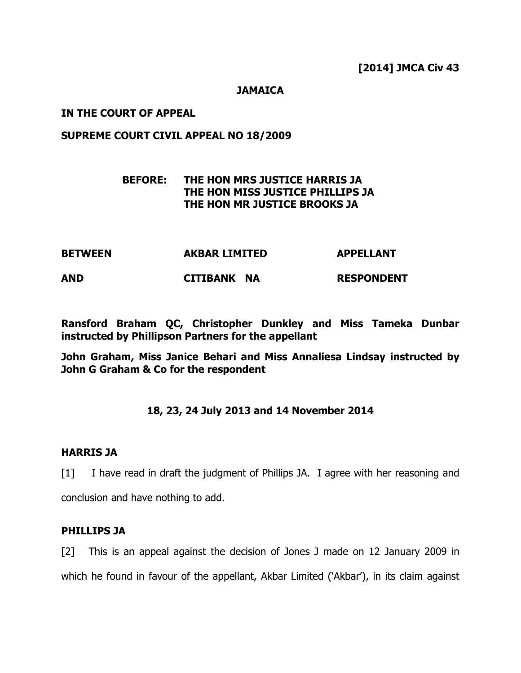#### **JAMAICA**

#### IN THE COURT OF APPEAL

#### SUPREME COURT CIVIL APPEAL NO 18/2009

# BEFORE: THE HON MRS JUSTICE HARRIS JA THE HON MISS JUSTICE PHILLIPS JA THE HON MR JUSTICE BROOKS JA

| <b>BETWEEN</b> | <b>AKBAR LIMITED</b> | <b>APPELLANT</b>  |
|----------------|----------------------|-------------------|
| <b>AND</b>     | CITIBANK NA          | <b>RESPONDENT</b> |

Ransford Braham QC, Christopher Dunkley and Miss Tameka Dunbar instructed by Phillipson Partners for the appellant

John Graham, Miss Janice Behari and Miss Annaliesa Lindsay instructed by John G Graham & Co for the respondent

#### 18, 23, 24 July 2013 and 14 November 2014

#### HARRIS JA

[1] I have read in draft the judgment of Phillips JA. I agree with her reasoning and conclusion and have nothing to add.

#### PHILLIPS JA

[2] This is an appeal against the decision of Jones J made on 12 January 2009 in which he found in favour of the appellant, Akbar Limited ('Akbar'), in its claim against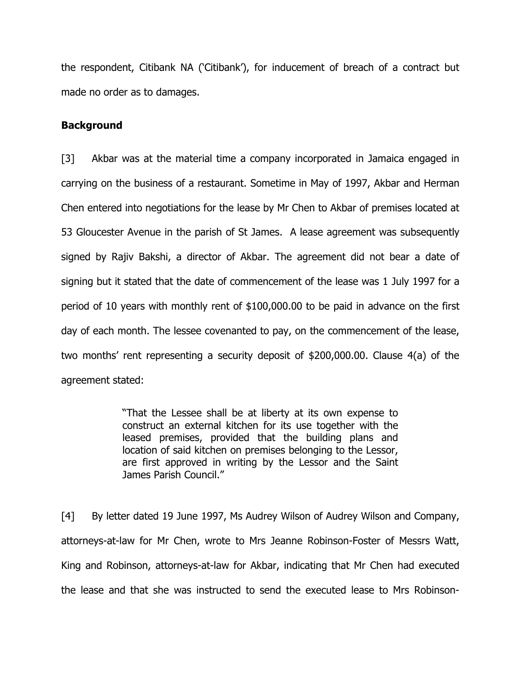the respondent, Citibank NA ('Citibank'), for inducement of breach of a contract but made no order as to damages.

### Background

[3] Akbar was at the material time a company incorporated in Jamaica engaged in carrying on the business of a restaurant. Sometime in May of 1997, Akbar and Herman Chen entered into negotiations for the lease by Mr Chen to Akbar of premises located at 53 Gloucester Avenue in the parish of St James. A lease agreement was subsequently signed by Rajiv Bakshi, a director of Akbar. The agreement did not bear a date of signing but it stated that the date of commencement of the lease was 1 July 1997 for a period of 10 years with monthly rent of \$100,000.00 to be paid in advance on the first day of each month. The lessee covenanted to pay, on the commencement of the lease, two months' rent representing a security deposit of \$200,000.00. Clause 4(a) of the agreement stated:

> "That the Lessee shall be at liberty at its own expense to construct an external kitchen for its use together with the leased premises, provided that the building plans and location of said kitchen on premises belonging to the Lessor, are first approved in writing by the Lessor and the Saint James Parish Council."

[4] By letter dated 19 June 1997, Ms Audrey Wilson of Audrey Wilson and Company, attorneys-at-law for Mr Chen, wrote to Mrs Jeanne Robinson-Foster of Messrs Watt, King and Robinson, attorneys-at-law for Akbar, indicating that Mr Chen had executed the lease and that she was instructed to send the executed lease to Mrs Robinson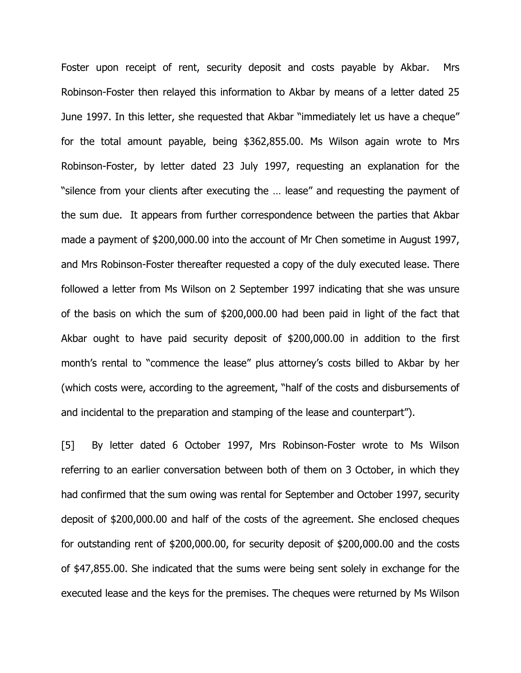Foster upon receipt of rent, security deposit and costs payable by Akbar. Mrs Robinson-Foster then relayed this information to Akbar by means of a letter dated 25 June 1997. In this letter, she requested that Akbar "immediately let us have a cheque" for the total amount payable, being \$362,855.00. Ms Wilson again wrote to Mrs Robinson-Foster, by letter dated 23 July 1997, requesting an explanation for the "silence from your clients after executing the … lease" and requesting the payment of the sum due. It appears from further correspondence between the parties that Akbar made a payment of \$200,000.00 into the account of Mr Chen sometime in August 1997, and Mrs Robinson-Foster thereafter requested a copy of the duly executed lease. There followed a letter from Ms Wilson on 2 September 1997 indicating that she was unsure of the basis on which the sum of \$200,000.00 had been paid in light of the fact that Akbar ought to have paid security deposit of \$200,000.00 in addition to the first month's rental to "commence the lease" plus attorney's costs billed to Akbar by her (which costs were, according to the agreement, "half of the costs and disbursements of and incidental to the preparation and stamping of the lease and counterpart").

[5] By letter dated 6 October 1997, Mrs Robinson-Foster wrote to Ms Wilson referring to an earlier conversation between both of them on 3 October, in which they had confirmed that the sum owing was rental for September and October 1997, security deposit of \$200,000.00 and half of the costs of the agreement. She enclosed cheques for outstanding rent of \$200,000.00, for security deposit of \$200,000.00 and the costs of \$47,855.00. She indicated that the sums were being sent solely in exchange for the executed lease and the keys for the premises. The cheques were returned by Ms Wilson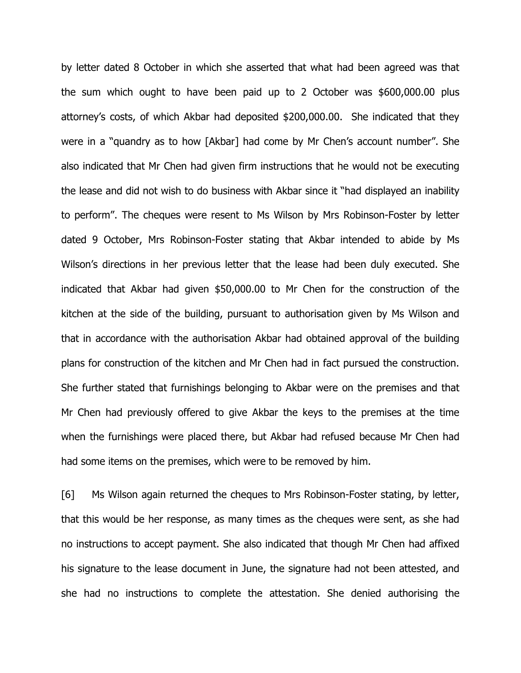by letter dated 8 October in which she asserted that what had been agreed was that the sum which ought to have been paid up to 2 October was \$600,000.00 plus attorney's costs, of which Akbar had deposited \$200,000.00. She indicated that they were in a "quandry as to how [Akbar] had come by Mr Chen's account number". She also indicated that Mr Chen had given firm instructions that he would not be executing the lease and did not wish to do business with Akbar since it "had displayed an inability to perform". The cheques were resent to Ms Wilson by Mrs Robinson-Foster by letter dated 9 October, Mrs Robinson-Foster stating that Akbar intended to abide by Ms Wilson's directions in her previous letter that the lease had been duly executed. She indicated that Akbar had given \$50,000.00 to Mr Chen for the construction of the kitchen at the side of the building, pursuant to authorisation given by Ms Wilson and that in accordance with the authorisation Akbar had obtained approval of the building plans for construction of the kitchen and Mr Chen had in fact pursued the construction. She further stated that furnishings belonging to Akbar were on the premises and that Mr Chen had previously offered to give Akbar the keys to the premises at the time when the furnishings were placed there, but Akbar had refused because Mr Chen had had some items on the premises, which were to be removed by him.

[6] Ms Wilson again returned the cheques to Mrs Robinson-Foster stating, by letter, that this would be her response, as many times as the cheques were sent, as she had no instructions to accept payment. She also indicated that though Mr Chen had affixed his signature to the lease document in June, the signature had not been attested, and she had no instructions to complete the attestation. She denied authorising the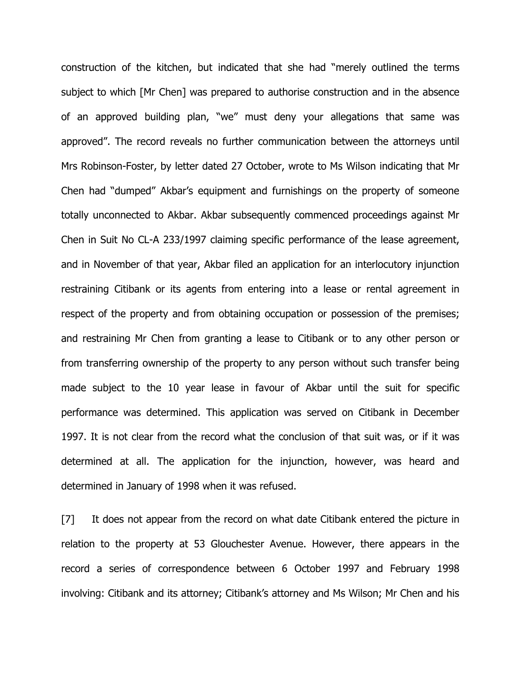construction of the kitchen, but indicated that she had "merely outlined the terms subject to which [Mr Chen] was prepared to authorise construction and in the absence of an approved building plan, "we" must deny your allegations that same was approved". The record reveals no further communication between the attorneys until Mrs Robinson-Foster, by letter dated 27 October, wrote to Ms Wilson indicating that Mr Chen had "dumped" Akbar's equipment and furnishings on the property of someone totally unconnected to Akbar. Akbar subsequently commenced proceedings against Mr Chen in Suit No CL-A 233/1997 claiming specific performance of the lease agreement, and in November of that year, Akbar filed an application for an interlocutory injunction restraining Citibank or its agents from entering into a lease or rental agreement in respect of the property and from obtaining occupation or possession of the premises; and restraining Mr Chen from granting a lease to Citibank or to any other person or from transferring ownership of the property to any person without such transfer being made subject to the 10 year lease in favour of Akbar until the suit for specific performance was determined. This application was served on Citibank in December 1997. It is not clear from the record what the conclusion of that suit was, or if it was determined at all. The application for the injunction, however, was heard and determined in January of 1998 when it was refused.

[7] It does not appear from the record on what date Citibank entered the picture in relation to the property at 53 Glouchester Avenue. However, there appears in the record a series of correspondence between 6 October 1997 and February 1998 involving: Citibank and its attorney; Citibank's attorney and Ms Wilson; Mr Chen and his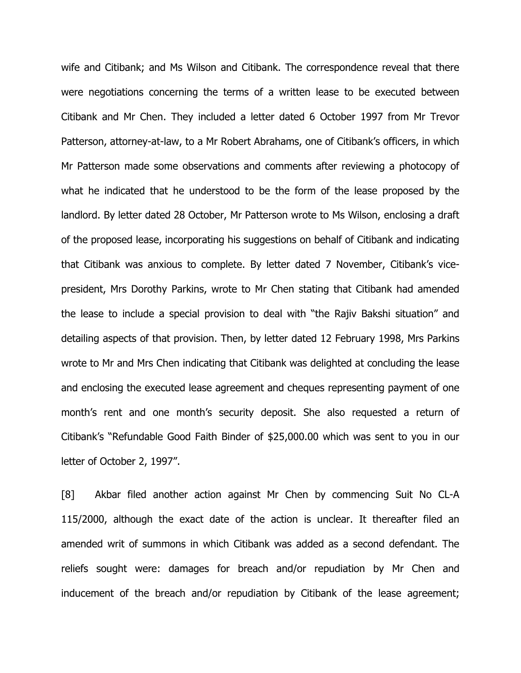wife and Citibank; and Ms Wilson and Citibank. The correspondence reveal that there were negotiations concerning the terms of a written lease to be executed between Citibank and Mr Chen. They included a letter dated 6 October 1997 from Mr Trevor Patterson, attorney-at-law, to a Mr Robert Abrahams, one of Citibank's officers, in which Mr Patterson made some observations and comments after reviewing a photocopy of what he indicated that he understood to be the form of the lease proposed by the landlord. By letter dated 28 October, Mr Patterson wrote to Ms Wilson, enclosing a draft of the proposed lease, incorporating his suggestions on behalf of Citibank and indicating that Citibank was anxious to complete. By letter dated 7 November, Citibank's vicepresident, Mrs Dorothy Parkins, wrote to Mr Chen stating that Citibank had amended the lease to include a special provision to deal with "the Rajiv Bakshi situation" and detailing aspects of that provision. Then, by letter dated 12 February 1998, Mrs Parkins wrote to Mr and Mrs Chen indicating that Citibank was delighted at concluding the lease and enclosing the executed lease agreement and cheques representing payment of one month's rent and one month's security deposit. She also requested a return of Citibank's "Refundable Good Faith Binder of \$25,000.00 which was sent to you in our letter of October 2, 1997".

[8] Akbar filed another action against Mr Chen by commencing Suit No CL-A 115/2000, although the exact date of the action is unclear. It thereafter filed an amended writ of summons in which Citibank was added as a second defendant. The reliefs sought were: damages for breach and/or repudiation by Mr Chen and inducement of the breach and/or repudiation by Citibank of the lease agreement;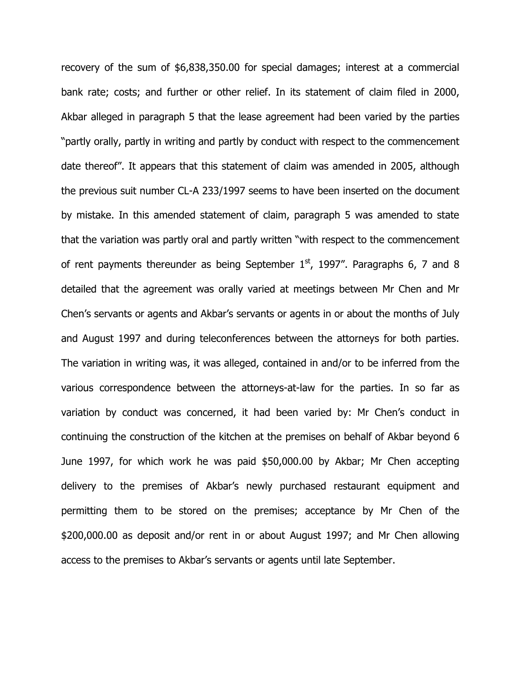recovery of the sum of \$6,838,350.00 for special damages; interest at a commercial bank rate; costs; and further or other relief. In its statement of claim filed in 2000, Akbar alleged in paragraph 5 that the lease agreement had been varied by the parties "partly orally, partly in writing and partly by conduct with respect to the commencement date thereof". It appears that this statement of claim was amended in 2005, although the previous suit number CL-A 233/1997 seems to have been inserted on the document by mistake. In this amended statement of claim, paragraph 5 was amended to state that the variation was partly oral and partly written "with respect to the commencement of rent payments thereunder as being September  $1<sup>st</sup>$ , 1997". Paragraphs 6, 7 and 8 detailed that the agreement was orally varied at meetings between Mr Chen and Mr Chen's servants or agents and Akbar's servants or agents in or about the months of July and August 1997 and during teleconferences between the attorneys for both parties. The variation in writing was, it was alleged, contained in and/or to be inferred from the various correspondence between the attorneys-at-law for the parties. In so far as variation by conduct was concerned, it had been varied by: Mr Chen's conduct in continuing the construction of the kitchen at the premises on behalf of Akbar beyond 6 June 1997, for which work he was paid \$50,000.00 by Akbar; Mr Chen accepting delivery to the premises of Akbar's newly purchased restaurant equipment and permitting them to be stored on the premises; acceptance by Mr Chen of the \$200,000.00 as deposit and/or rent in or about August 1997; and Mr Chen allowing access to the premises to Akbar's servants or agents until late September.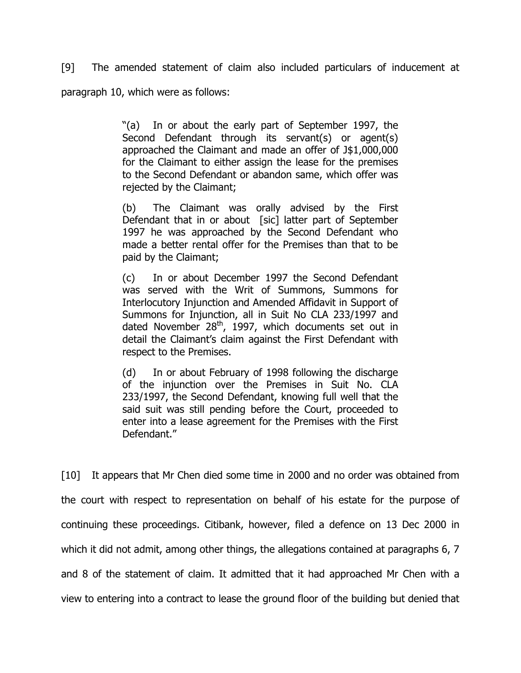[9] The amended statement of claim also included particulars of inducement at paragraph 10, which were as follows:

> "(a) In or about the early part of September 1997, the Second Defendant through its servant(s) or agent(s) approached the Claimant and made an offer of J\$1,000,000 for the Claimant to either assign the lease for the premises to the Second Defendant or abandon same, which offer was rejected by the Claimant;

> (b) The Claimant was orally advised by the First Defendant that in or about [sic] latter part of September 1997 he was approached by the Second Defendant who made a better rental offer for the Premises than that to be paid by the Claimant;

> (c) In or about December 1997 the Second Defendant was served with the Writ of Summons, Summons for Interlocutory Injunction and Amended Affidavit in Support of Summons for Injunction, all in Suit No CLA 233/1997 and dated November  $28<sup>th</sup>$ , 1997, which documents set out in detail the Claimant's claim against the First Defendant with respect to the Premises.

> (d) In or about February of 1998 following the discharge of the injunction over the Premises in Suit No. CLA 233/1997, the Second Defendant, knowing full well that the said suit was still pending before the Court, proceeded to enter into a lease agreement for the Premises with the First Defendant."

[10] It appears that Mr Chen died some time in 2000 and no order was obtained from the court with respect to representation on behalf of his estate for the purpose of continuing these proceedings. Citibank, however, filed a defence on 13 Dec 2000 in which it did not admit, among other things, the allegations contained at paragraphs 6, 7 and 8 of the statement of claim. It admitted that it had approached Mr Chen with a view to entering into a contract to lease the ground floor of the building but denied that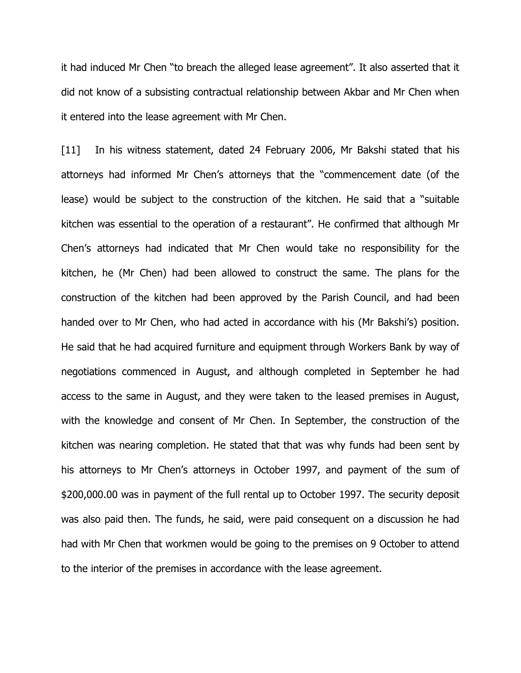it had induced Mr Chen "to breach the alleged lease agreement". It also asserted that it did not know of a subsisting contractual relationship between Akbar and Mr Chen when it entered into the lease agreement with Mr Chen.

[11] In his witness statement, dated 24 February 2006, Mr Bakshi stated that his attorneys had informed Mr Chen's attorneys that the "commencement date (of the lease) would be subject to the construction of the kitchen. He said that a "suitable kitchen was essential to the operation of a restaurant". He confirmed that although Mr Chen's attorneys had indicated that Mr Chen would take no responsibility for the kitchen, he (Mr Chen) had been allowed to construct the same. The plans for the construction of the kitchen had been approved by the Parish Council, and had been handed over to Mr Chen, who had acted in accordance with his (Mr Bakshi's) position. He said that he had acquired furniture and equipment through Workers Bank by way of negotiations commenced in August, and although completed in September he had access to the same in August, and they were taken to the leased premises in August, with the knowledge and consent of Mr Chen. In September, the construction of the kitchen was nearing completion. He stated that that was why funds had been sent by his attorneys to Mr Chen's attorneys in October 1997, and payment of the sum of \$200,000.00 was in payment of the full rental up to October 1997. The security deposit was also paid then. The funds, he said, were paid consequent on a discussion he had had with Mr Chen that workmen would be going to the premises on 9 October to attend to the interior of the premises in accordance with the lease agreement.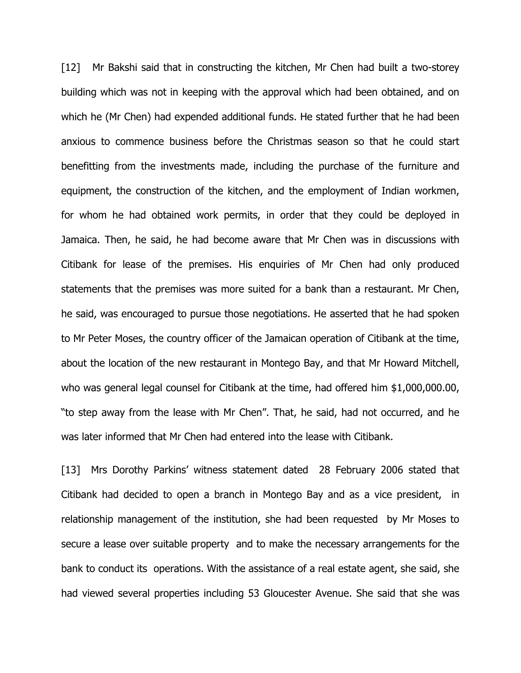[12] Mr Bakshi said that in constructing the kitchen, Mr Chen had built a two-storey building which was not in keeping with the approval which had been obtained, and on which he (Mr Chen) had expended additional funds. He stated further that he had been anxious to commence business before the Christmas season so that he could start benefitting from the investments made, including the purchase of the furniture and equipment, the construction of the kitchen, and the employment of Indian workmen, for whom he had obtained work permits, in order that they could be deployed in Jamaica. Then, he said, he had become aware that Mr Chen was in discussions with Citibank for lease of the premises. His enquiries of Mr Chen had only produced statements that the premises was more suited for a bank than a restaurant. Mr Chen, he said, was encouraged to pursue those negotiations. He asserted that he had spoken to Mr Peter Moses, the country officer of the Jamaican operation of Citibank at the time, about the location of the new restaurant in Montego Bay, and that Mr Howard Mitchell, who was general legal counsel for Citibank at the time, had offered him \$1,000,000.00, "to step away from the lease with Mr Chen". That, he said, had not occurred, and he was later informed that Mr Chen had entered into the lease with Citibank.

[13] Mrs Dorothy Parkins' witness statement dated 28 February 2006 stated that Citibank had decided to open a branch in Montego Bay and as a vice president, in relationship management of the institution, she had been requested by Mr Moses to secure a lease over suitable property and to make the necessary arrangements for the bank to conduct its operations. With the assistance of a real estate agent, she said, she had viewed several properties including 53 Gloucester Avenue. She said that she was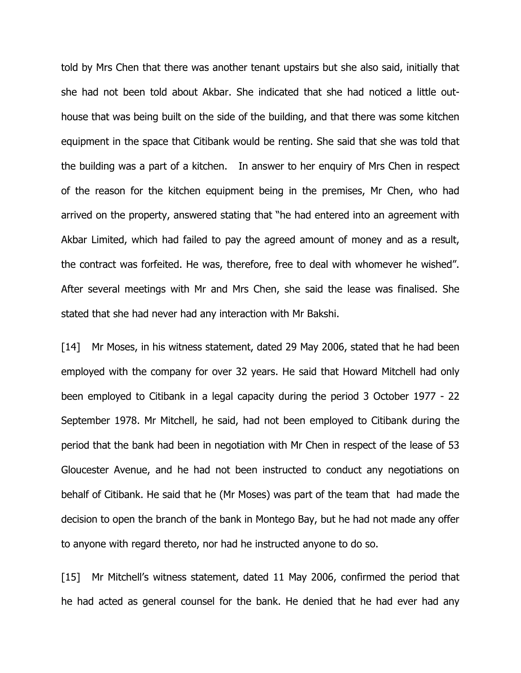told by Mrs Chen that there was another tenant upstairs but she also said, initially that she had not been told about Akbar. She indicated that she had noticed a little outhouse that was being built on the side of the building, and that there was some kitchen equipment in the space that Citibank would be renting. She said that she was told that the building was a part of a kitchen. In answer to her enquiry of Mrs Chen in respect of the reason for the kitchen equipment being in the premises, Mr Chen, who had arrived on the property, answered stating that "he had entered into an agreement with Akbar Limited, which had failed to pay the agreed amount of money and as a result, the contract was forfeited. He was, therefore, free to deal with whomever he wished". After several meetings with Mr and Mrs Chen, she said the lease was finalised. She stated that she had never had any interaction with Mr Bakshi.

[14] Mr Moses, in his witness statement, dated 29 May 2006, stated that he had been employed with the company for over 32 years. He said that Howard Mitchell had only been employed to Citibank in a legal capacity during the period 3 October 1977 - 22 September 1978. Mr Mitchell, he said, had not been employed to Citibank during the period that the bank had been in negotiation with Mr Chen in respect of the lease of 53 Gloucester Avenue, and he had not been instructed to conduct any negotiations on behalf of Citibank. He said that he (Mr Moses) was part of the team that had made the decision to open the branch of the bank in Montego Bay, but he had not made any offer to anyone with regard thereto, nor had he instructed anyone to do so.

[15] Mr Mitchell's witness statement, dated 11 May 2006, confirmed the period that he had acted as general counsel for the bank. He denied that he had ever had any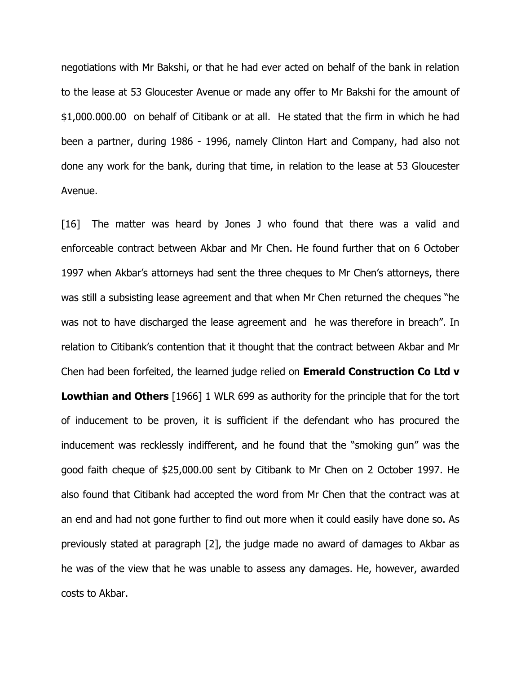negotiations with Mr Bakshi, or that he had ever acted on behalf of the bank in relation to the lease at 53 Gloucester Avenue or made any offer to Mr Bakshi for the amount of \$1,000.000.00 on behalf of Citibank or at all. He stated that the firm in which he had been a partner, during 1986 - 1996, namely Clinton Hart and Company, had also not done any work for the bank, during that time, in relation to the lease at 53 Gloucester Avenue.

[16] The matter was heard by Jones J who found that there was a valid and enforceable contract between Akbar and Mr Chen. He found further that on 6 October 1997 when Akbar's attorneys had sent the three cheques to Mr Chen's attorneys, there was still a subsisting lease agreement and that when Mr Chen returned the cheques "he was not to have discharged the lease agreement and he was therefore in breach". In relation to Citibank's contention that it thought that the contract between Akbar and Mr Chen had been forfeited, the learned judge relied on **Emerald Construction Co Ltd v** Lowthian and Others [1966] 1 WLR 699 as authority for the principle that for the tort of inducement to be proven, it is sufficient if the defendant who has procured the inducement was recklessly indifferent, and he found that the "smoking gun" was the good faith cheque of \$25,000.00 sent by Citibank to Mr Chen on 2 October 1997. He also found that Citibank had accepted the word from Mr Chen that the contract was at an end and had not gone further to find out more when it could easily have done so. As previously stated at paragraph [2], the judge made no award of damages to Akbar as he was of the view that he was unable to assess any damages. He, however, awarded costs to Akbar.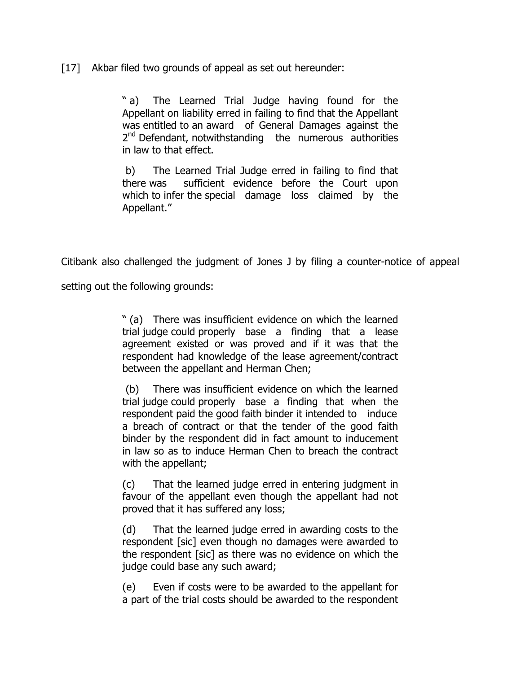[17] Akbar filed two grounds of appeal as set out hereunder:

" a) The Learned Trial Judge having found for the Appellant on liability erred in failing to find that the Appellant was entitled to an award of General Damages against the 2<sup>nd</sup> Defendant, notwithstanding the numerous authorities in law to that effect.

 b) The Learned Trial Judge erred in failing to find that there was sufficient evidence before the Court upon which to infer the special damage loss claimed by the Appellant."

Citibank also challenged the judgment of Jones J by filing a counter-notice of appeal

setting out the following grounds:

" (a) There was insufficient evidence on which the learned trial judge could properly base a finding that a lease agreement existed or was proved and if it was that the respondent had knowledge of the lease agreement/contract between the appellant and Herman Chen;

 (b) There was insufficient evidence on which the learned trial judge could properly base a finding that when the respondent paid the good faith binder it intended to induce a breach of contract or that the tender of the good faith binder by the respondent did in fact amount to inducement in law so as to induce Herman Chen to breach the contract with the appellant;

(c) That the learned judge erred in entering judgment in favour of the appellant even though the appellant had not proved that it has suffered any loss;

(d) That the learned judge erred in awarding costs to the respondent [sic] even though no damages were awarded to the respondent [sic] as there was no evidence on which the judge could base any such award;

(e) Even if costs were to be awarded to the appellant for a part of the trial costs should be awarded to the respondent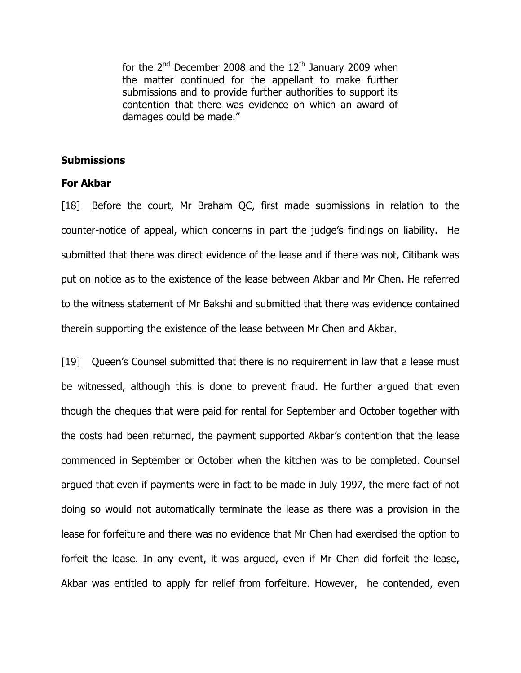for the  $2^{nd}$  December 2008 and the  $12^{th}$  January 2009 when the matter continued for the appellant to make further submissions and to provide further authorities to support its contention that there was evidence on which an award of damages could be made."

### **Submissions**

### For Akbar

[18] Before the court, Mr Braham QC, first made submissions in relation to the counter-notice of appeal, which concerns in part the judge's findings on liability. He submitted that there was direct evidence of the lease and if there was not, Citibank was put on notice as to the existence of the lease between Akbar and Mr Chen. He referred to the witness statement of Mr Bakshi and submitted that there was evidence contained therein supporting the existence of the lease between Mr Chen and Akbar.

[19] Queen's Counsel submitted that there is no requirement in law that a lease must be witnessed, although this is done to prevent fraud. He further argued that even though the cheques that were paid for rental for September and October together with the costs had been returned, the payment supported Akbar's contention that the lease commenced in September or October when the kitchen was to be completed. Counsel argued that even if payments were in fact to be made in July 1997, the mere fact of not doing so would not automatically terminate the lease as there was a provision in the lease for forfeiture and there was no evidence that Mr Chen had exercised the option to forfeit the lease. In any event, it was argued, even if Mr Chen did forfeit the lease, Akbar was entitled to apply for relief from forfeiture. However, he contended, even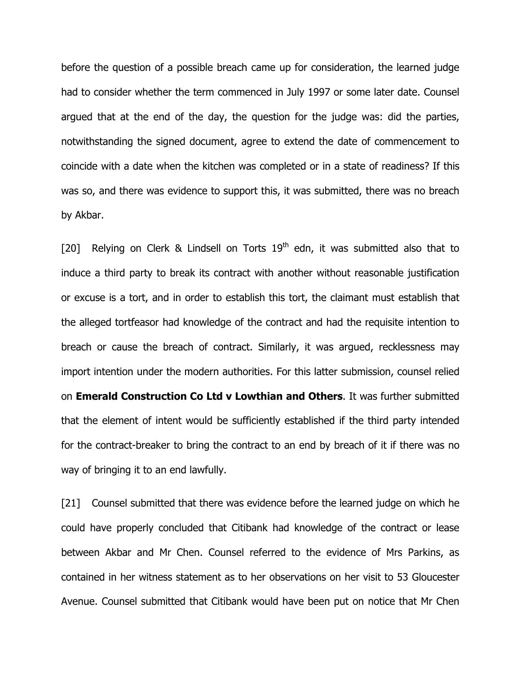before the question of a possible breach came up for consideration, the learned judge had to consider whether the term commenced in July 1997 or some later date. Counsel argued that at the end of the day, the question for the judge was: did the parties, notwithstanding the signed document, agree to extend the date of commencement to coincide with a date when the kitchen was completed or in a state of readiness? If this was so, and there was evidence to support this, it was submitted, there was no breach by Akbar.

[20] Relying on Clerk & Lindsell on Torts  $19<sup>th</sup>$  edn, it was submitted also that to induce a third party to break its contract with another without reasonable justification or excuse is a tort, and in order to establish this tort, the claimant must establish that the alleged tortfeasor had knowledge of the contract and had the requisite intention to breach or cause the breach of contract. Similarly, it was argued, recklessness may import intention under the modern authorities. For this latter submission, counsel relied on **Emerald Construction Co Ltd v Lowthian and Others**. It was further submitted that the element of intent would be sufficiently established if the third party intended for the contract-breaker to bring the contract to an end by breach of it if there was no way of bringing it to an end lawfully.

[21] Counsel submitted that there was evidence before the learned judge on which he could have properly concluded that Citibank had knowledge of the contract or lease between Akbar and Mr Chen. Counsel referred to the evidence of Mrs Parkins, as contained in her witness statement as to her observations on her visit to 53 Gloucester Avenue. Counsel submitted that Citibank would have been put on notice that Mr Chen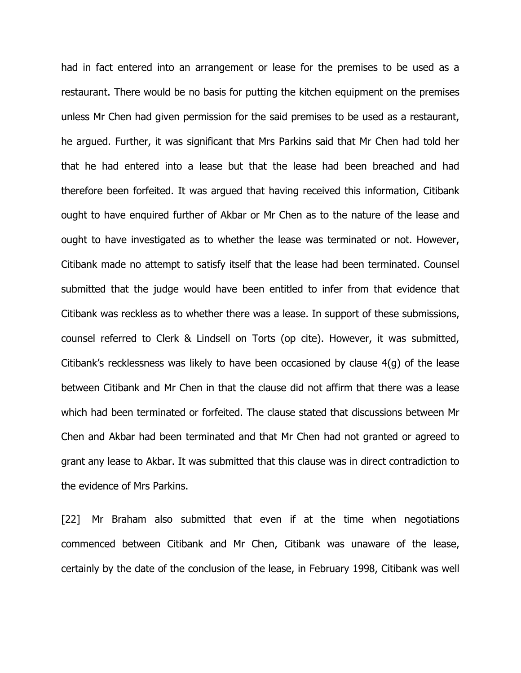had in fact entered into an arrangement or lease for the premises to be used as a restaurant. There would be no basis for putting the kitchen equipment on the premises unless Mr Chen had given permission for the said premises to be used as a restaurant, he argued. Further, it was significant that Mrs Parkins said that Mr Chen had told her that he had entered into a lease but that the lease had been breached and had therefore been forfeited. It was argued that having received this information, Citibank ought to have enquired further of Akbar or Mr Chen as to the nature of the lease and ought to have investigated as to whether the lease was terminated or not. However, Citibank made no attempt to satisfy itself that the lease had been terminated. Counsel submitted that the judge would have been entitled to infer from that evidence that Citibank was reckless as to whether there was a lease. In support of these submissions, counsel referred to Clerk & Lindsell on Torts (op cite). However, it was submitted, Citibank's recklessness was likely to have been occasioned by clause 4(g) of the lease between Citibank and Mr Chen in that the clause did not affirm that there was a lease which had been terminated or forfeited. The clause stated that discussions between Mr Chen and Akbar had been terminated and that Mr Chen had not granted or agreed to grant any lease to Akbar. It was submitted that this clause was in direct contradiction to the evidence of Mrs Parkins.

[22] Mr Braham also submitted that even if at the time when negotiations commenced between Citibank and Mr Chen, Citibank was unaware of the lease, certainly by the date of the conclusion of the lease, in February 1998, Citibank was well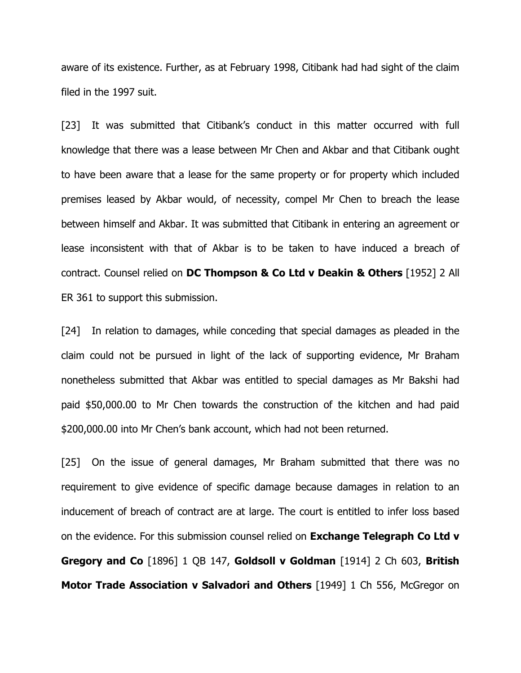aware of its existence. Further, as at February 1998, Citibank had had sight of the claim filed in the 1997 suit.

[23] It was submitted that Citibank's conduct in this matter occurred with full knowledge that there was a lease between Mr Chen and Akbar and that Citibank ought to have been aware that a lease for the same property or for property which included premises leased by Akbar would, of necessity, compel Mr Chen to breach the lease between himself and Akbar. It was submitted that Citibank in entering an agreement or lease inconsistent with that of Akbar is to be taken to have induced a breach of contract. Counsel relied on DC Thompson & Co Ltd v Deakin & Others [1952] 2 All ER 361 to support this submission.

[24] In relation to damages, while conceding that special damages as pleaded in the claim could not be pursued in light of the lack of supporting evidence, Mr Braham nonetheless submitted that Akbar was entitled to special damages as Mr Bakshi had paid \$50,000.00 to Mr Chen towards the construction of the kitchen and had paid \$200,000.00 into Mr Chen's bank account, which had not been returned.

[25] On the issue of general damages, Mr Braham submitted that there was no requirement to give evidence of specific damage because damages in relation to an inducement of breach of contract are at large. The court is entitled to infer loss based on the evidence. For this submission counsel relied on **Exchange Telegraph Co Ltd v** Gregory and Co [1896] 1 QB 147, Goldsoll v Goldman [1914] 2 Ch 603, British Motor Trade Association v Salvadori and Others [1949] 1 Ch 556, McGregor on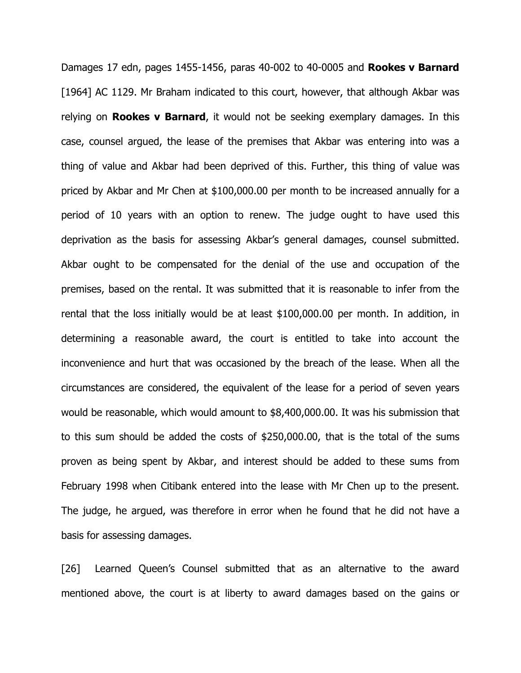Damages 17 edn, pages 1455-1456, paras 40-002 to 40-0005 and **Rookes v Barnard** [1964] AC 1129. Mr Braham indicated to this court, however, that although Akbar was relying on **Rookes v Barnard**, it would not be seeking exemplary damages. In this case, counsel argued, the lease of the premises that Akbar was entering into was a thing of value and Akbar had been deprived of this. Further, this thing of value was priced by Akbar and Mr Chen at \$100,000.00 per month to be increased annually for a period of 10 years with an option to renew. The judge ought to have used this deprivation as the basis for assessing Akbar's general damages, counsel submitted. Akbar ought to be compensated for the denial of the use and occupation of the premises, based on the rental. It was submitted that it is reasonable to infer from the rental that the loss initially would be at least \$100,000.00 per month. In addition, in determining a reasonable award, the court is entitled to take into account the inconvenience and hurt that was occasioned by the breach of the lease. When all the circumstances are considered, the equivalent of the lease for a period of seven years would be reasonable, which would amount to \$8,400,000.00. It was his submission that to this sum should be added the costs of \$250,000.00, that is the total of the sums proven as being spent by Akbar, and interest should be added to these sums from February 1998 when Citibank entered into the lease with Mr Chen up to the present. The judge, he argued, was therefore in error when he found that he did not have a basis for assessing damages.

[26] Learned Queen's Counsel submitted that as an alternative to the award mentioned above, the court is at liberty to award damages based on the gains or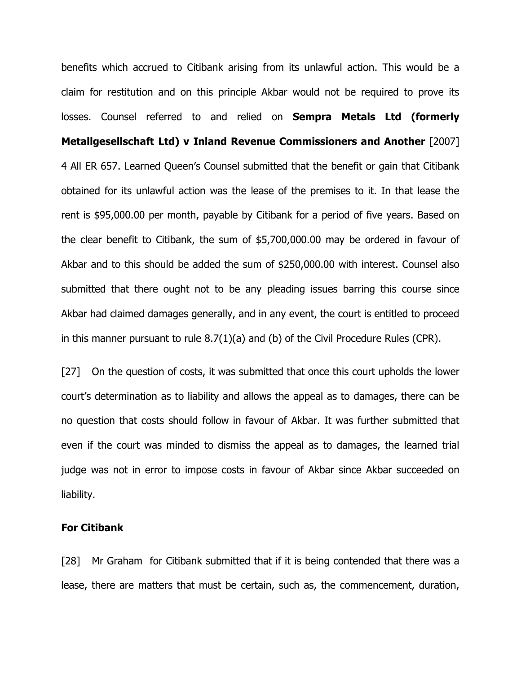benefits which accrued to Citibank arising from its unlawful action. This would be a claim for restitution and on this principle Akbar would not be required to prove its losses. Counsel referred to and relied on **Sempra Metals Ltd (formerly** Metallgesellschaft Ltd) v Inland Revenue Commissioners and Another [2007] 4 All ER 657. Learned Queen's Counsel submitted that the benefit or gain that Citibank obtained for its unlawful action was the lease of the premises to it. In that lease the rent is \$95,000.00 per month, payable by Citibank for a period of five years. Based on the clear benefit to Citibank, the sum of \$5,700,000.00 may be ordered in favour of Akbar and to this should be added the sum of \$250,000.00 with interest. Counsel also submitted that there ought not to be any pleading issues barring this course since Akbar had claimed damages generally, and in any event, the court is entitled to proceed in this manner pursuant to rule 8.7(1)(a) and (b) of the Civil Procedure Rules (CPR).

[27] On the question of costs, it was submitted that once this court upholds the lower court's determination as to liability and allows the appeal as to damages, there can be no question that costs should follow in favour of Akbar. It was further submitted that even if the court was minded to dismiss the appeal as to damages, the learned trial judge was not in error to impose costs in favour of Akbar since Akbar succeeded on liability.

#### For Citibank

[28] Mr Graham for Citibank submitted that if it is being contended that there was a lease, there are matters that must be certain, such as, the commencement, duration,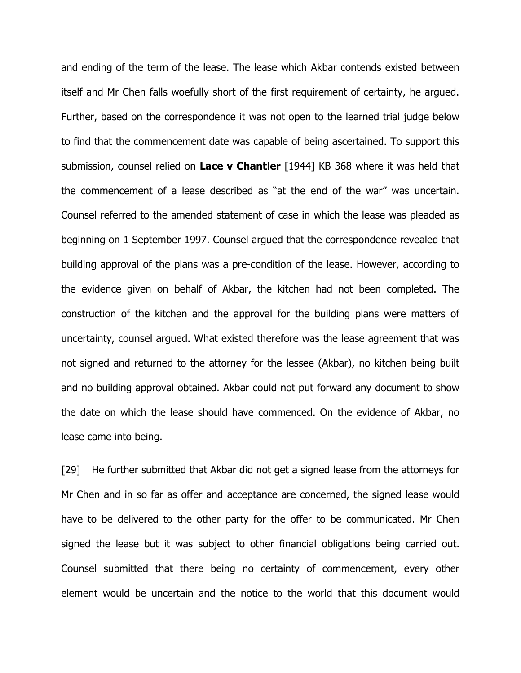and ending of the term of the lease. The lease which Akbar contends existed between itself and Mr Chen falls woefully short of the first requirement of certainty, he argued. Further, based on the correspondence it was not open to the learned trial judge below to find that the commencement date was capable of being ascertained. To support this submission, counsel relied on Lace v Chantler  $[1944]$  KB 368 where it was held that the commencement of a lease described as "at the end of the war" was uncertain. Counsel referred to the amended statement of case in which the lease was pleaded as beginning on 1 September 1997. Counsel argued that the correspondence revealed that building approval of the plans was a pre-condition of the lease. However, according to the evidence given on behalf of Akbar, the kitchen had not been completed. The construction of the kitchen and the approval for the building plans were matters of uncertainty, counsel argued. What existed therefore was the lease agreement that was not signed and returned to the attorney for the lessee (Akbar), no kitchen being built and no building approval obtained. Akbar could not put forward any document to show the date on which the lease should have commenced. On the evidence of Akbar, no lease came into being.

[29] He further submitted that Akbar did not get a signed lease from the attorneys for Mr Chen and in so far as offer and acceptance are concerned, the signed lease would have to be delivered to the other party for the offer to be communicated. Mr Chen signed the lease but it was subject to other financial obligations being carried out. Counsel submitted that there being no certainty of commencement, every other element would be uncertain and the notice to the world that this document would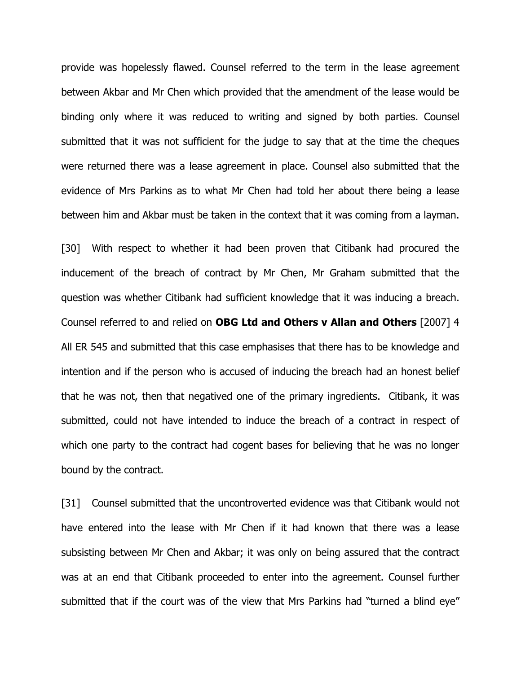provide was hopelessly flawed. Counsel referred to the term in the lease agreement between Akbar and Mr Chen which provided that the amendment of the lease would be binding only where it was reduced to writing and signed by both parties. Counsel submitted that it was not sufficient for the judge to say that at the time the cheques were returned there was a lease agreement in place. Counsel also submitted that the evidence of Mrs Parkins as to what Mr Chen had told her about there being a lease between him and Akbar must be taken in the context that it was coming from a layman.

[30] With respect to whether it had been proven that Citibank had procured the inducement of the breach of contract by Mr Chen, Mr Graham submitted that the question was whether Citibank had sufficient knowledge that it was inducing a breach. Counsel referred to and relied on OBG Ltd and Others v Allan and Others [2007] 4 All ER 545 and submitted that this case emphasises that there has to be knowledge and intention and if the person who is accused of inducing the breach had an honest belief that he was not, then that negatived one of the primary ingredients. Citibank, it was submitted, could not have intended to induce the breach of a contract in respect of which one party to the contract had cogent bases for believing that he was no longer bound by the contract.

[31] Counsel submitted that the uncontroverted evidence was that Citibank would not have entered into the lease with Mr Chen if it had known that there was a lease subsisting between Mr Chen and Akbar; it was only on being assured that the contract was at an end that Citibank proceeded to enter into the agreement. Counsel further submitted that if the court was of the view that Mrs Parkins had "turned a blind eye"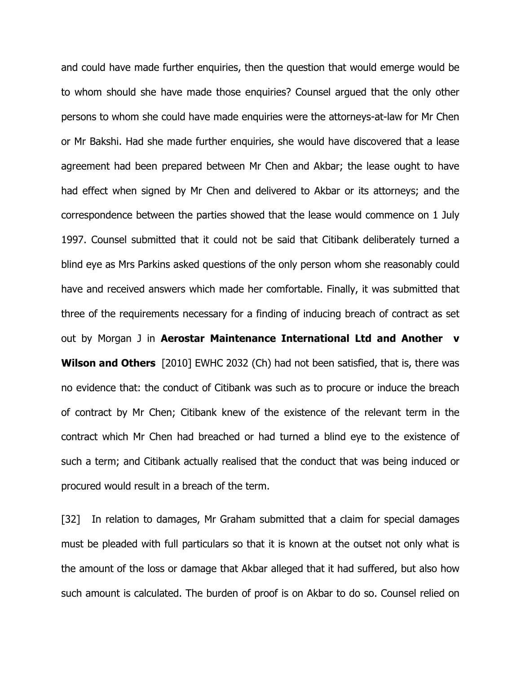and could have made further enquiries, then the question that would emerge would be to whom should she have made those enquiries? Counsel argued that the only other persons to whom she could have made enquiries were the attorneys-at-law for Mr Chen or Mr Bakshi. Had she made further enquiries, she would have discovered that a lease agreement had been prepared between Mr Chen and Akbar; the lease ought to have had effect when signed by Mr Chen and delivered to Akbar or its attorneys; and the correspondence between the parties showed that the lease would commence on 1 July 1997. Counsel submitted that it could not be said that Citibank deliberately turned a blind eye as Mrs Parkins asked questions of the only person whom she reasonably could have and received answers which made her comfortable. Finally, it was submitted that three of the requirements necessary for a finding of inducing breach of contract as set out by Morgan J in Aerostar Maintenance International Ltd and Another v Wilson and Others [2010] EWHC 2032 (Ch) had not been satisfied, that is, there was no evidence that: the conduct of Citibank was such as to procure or induce the breach of contract by Mr Chen; Citibank knew of the existence of the relevant term in the contract which Mr Chen had breached or had turned a blind eye to the existence of such a term; and Citibank actually realised that the conduct that was being induced or procured would result in a breach of the term.

[32] In relation to damages, Mr Graham submitted that a claim for special damages must be pleaded with full particulars so that it is known at the outset not only what is the amount of the loss or damage that Akbar alleged that it had suffered, but also how such amount is calculated. The burden of proof is on Akbar to do so. Counsel relied on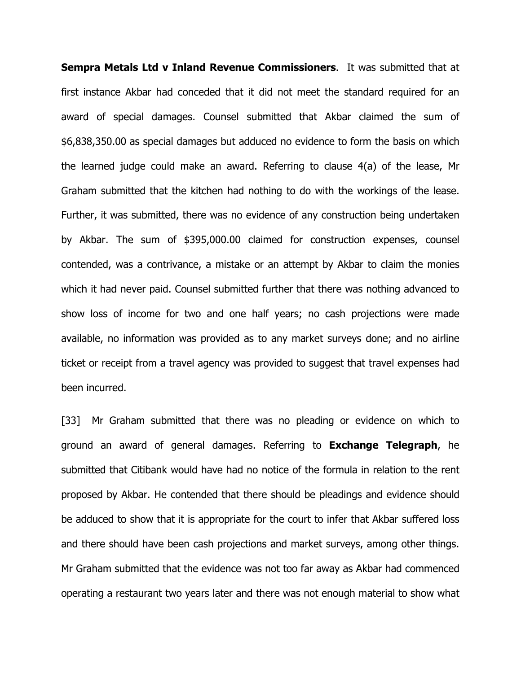Sempra Metals Ltd v Inland Revenue Commissioners. It was submitted that at first instance Akbar had conceded that it did not meet the standard required for an award of special damages. Counsel submitted that Akbar claimed the sum of \$6,838,350.00 as special damages but adduced no evidence to form the basis on which the learned judge could make an award. Referring to clause 4(a) of the lease, Mr Graham submitted that the kitchen had nothing to do with the workings of the lease. Further, it was submitted, there was no evidence of any construction being undertaken by Akbar. The sum of \$395,000.00 claimed for construction expenses, counsel contended, was a contrivance, a mistake or an attempt by Akbar to claim the monies which it had never paid. Counsel submitted further that there was nothing advanced to show loss of income for two and one half years; no cash projections were made available, no information was provided as to any market surveys done; and no airline ticket or receipt from a travel agency was provided to suggest that travel expenses had been incurred.

[33] Mr Graham submitted that there was no pleading or evidence on which to ground an award of general damages. Referring to **Exchange Telegraph**, he submitted that Citibank would have had no notice of the formula in relation to the rent proposed by Akbar. He contended that there should be pleadings and evidence should be adduced to show that it is appropriate for the court to infer that Akbar suffered loss and there should have been cash projections and market surveys, among other things. Mr Graham submitted that the evidence was not too far away as Akbar had commenced operating a restaurant two years later and there was not enough material to show what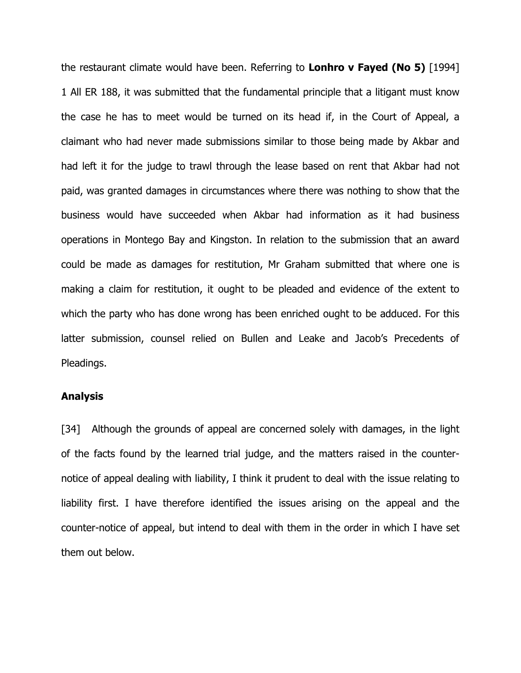the restaurant climate would have been. Referring to **Lonhro v Fayed (No 5)** [1994] 1 All ER 188, it was submitted that the fundamental principle that a litigant must know the case he has to meet would be turned on its head if, in the Court of Appeal, a claimant who had never made submissions similar to those being made by Akbar and had left it for the judge to trawl through the lease based on rent that Akbar had not paid, was granted damages in circumstances where there was nothing to show that the business would have succeeded when Akbar had information as it had business operations in Montego Bay and Kingston. In relation to the submission that an award could be made as damages for restitution, Mr Graham submitted that where one is making a claim for restitution, it ought to be pleaded and evidence of the extent to which the party who has done wrong has been enriched ought to be adduced. For this latter submission, counsel relied on Bullen and Leake and Jacob's Precedents of Pleadings.

#### Analysis

[34] Although the grounds of appeal are concerned solely with damages, in the light of the facts found by the learned trial judge, and the matters raised in the counternotice of appeal dealing with liability, I think it prudent to deal with the issue relating to liability first. I have therefore identified the issues arising on the appeal and the counter-notice of appeal, but intend to deal with them in the order in which I have set them out below.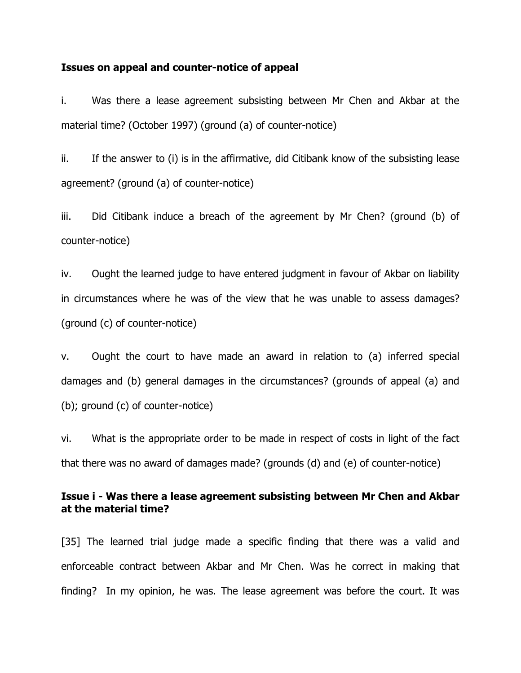#### Issues on appeal and counter-notice of appeal

i. Was there a lease agreement subsisting between Mr Chen and Akbar at the material time? (October 1997) (ground (a) of counter-notice)

ii. If the answer to (i) is in the affirmative, did Citibank know of the subsisting lease agreement? (ground (a) of counter-notice)

iii. Did Citibank induce a breach of the agreement by Mr Chen? (ground (b) of counter-notice)

iv. Ought the learned judge to have entered judgment in favour of Akbar on liability in circumstances where he was of the view that he was unable to assess damages? (ground (c) of counter-notice)

v. Ought the court to have made an award in relation to (a) inferred special damages and (b) general damages in the circumstances? (grounds of appeal (a) and (b); ground (c) of counter-notice)

vi. What is the appropriate order to be made in respect of costs in light of the fact that there was no award of damages made? (grounds (d) and (e) of counter-notice)

# Issue i - Was there a lease agreement subsisting between Mr Chen and Akbar at the material time?

[35] The learned trial judge made a specific finding that there was a valid and enforceable contract between Akbar and Mr Chen. Was he correct in making that finding? In my opinion, he was. The lease agreement was before the court. It was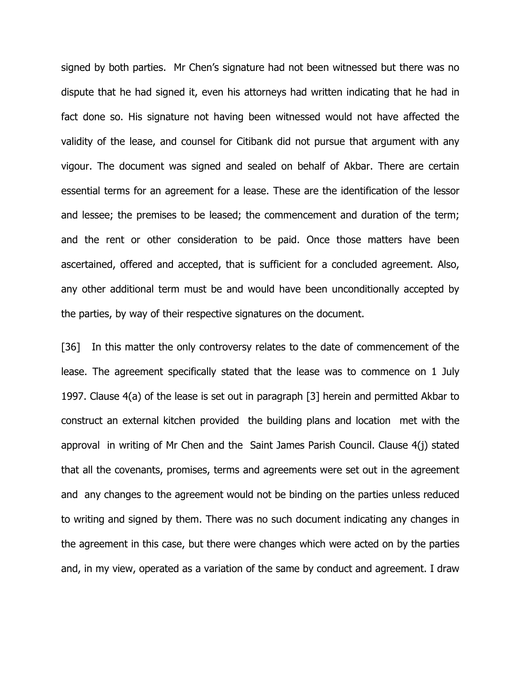signed by both parties. Mr Chen's signature had not been witnessed but there was no dispute that he had signed it, even his attorneys had written indicating that he had in fact done so. His signature not having been witnessed would not have affected the validity of the lease, and counsel for Citibank did not pursue that argument with any vigour. The document was signed and sealed on behalf of Akbar. There are certain essential terms for an agreement for a lease. These are the identification of the lessor and lessee; the premises to be leased; the commencement and duration of the term; and the rent or other consideration to be paid. Once those matters have been ascertained, offered and accepted, that is sufficient for a concluded agreement. Also, any other additional term must be and would have been unconditionally accepted by the parties, by way of their respective signatures on the document.

[36] In this matter the only controversy relates to the date of commencement of the lease. The agreement specifically stated that the lease was to commence on 1 July 1997. Clause 4(a) of the lease is set out in paragraph [3] herein and permitted Akbar to construct an external kitchen provided the building plans and location met with the approval in writing of Mr Chen and the Saint James Parish Council. Clause 4(j) stated that all the covenants, promises, terms and agreements were set out in the agreement and any changes to the agreement would not be binding on the parties unless reduced to writing and signed by them. There was no such document indicating any changes in the agreement in this case, but there were changes which were acted on by the parties and, in my view, operated as a variation of the same by conduct and agreement. I draw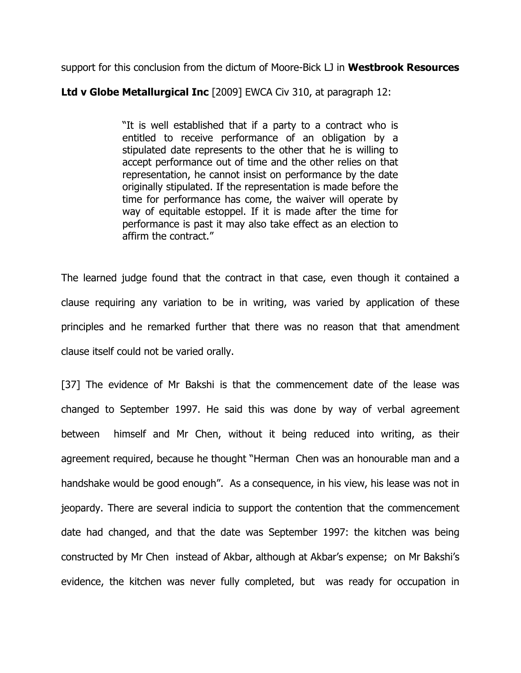support for this conclusion from the dictum of Moore-Bick LJ in Westbrook Resources

Ltd v Globe Metallurgical Inc [2009] EWCA Civ 310, at paragraph 12:

"It is well established that if a party to a contract who is entitled to receive performance of an obligation by a stipulated date represents to the other that he is willing to accept performance out of time and the other relies on that representation, he cannot insist on performance by the date originally stipulated. If the representation is made before the time for performance has come, the waiver will operate by way of equitable estoppel. If it is made after the time for performance is past it may also take effect as an election to affirm the contract."

The learned judge found that the contract in that case, even though it contained a clause requiring any variation to be in writing, was varied by application of these principles and he remarked further that there was no reason that that amendment clause itself could not be varied orally.

[37] The evidence of Mr Bakshi is that the commencement date of the lease was changed to September 1997. He said this was done by way of verbal agreement between himself and Mr Chen, without it being reduced into writing, as their agreement required, because he thought "Herman Chen was an honourable man and a handshake would be good enough". As a consequence, in his view, his lease was not in jeopardy. There are several indicia to support the contention that the commencement date had changed, and that the date was September 1997: the kitchen was being constructed by Mr Chen instead of Akbar, although at Akbar's expense; on Mr Bakshi's evidence, the kitchen was never fully completed, but was ready for occupation in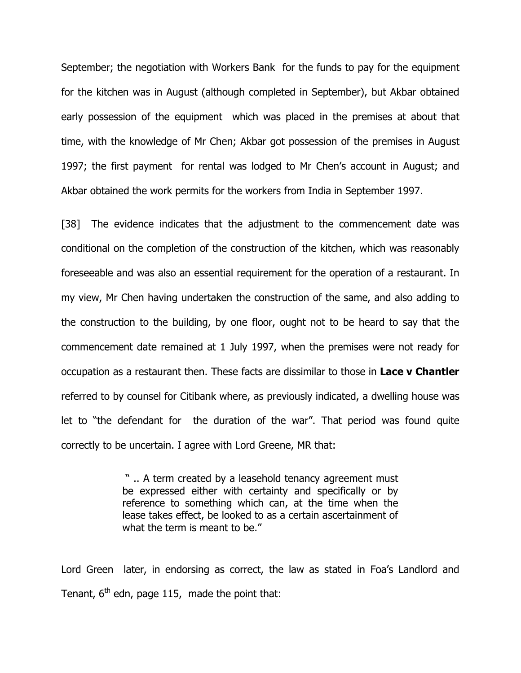September; the negotiation with Workers Bank for the funds to pay for the equipment for the kitchen was in August (although completed in September), but Akbar obtained early possession of the equipment which was placed in the premises at about that time, with the knowledge of Mr Chen; Akbar got possession of the premises in August 1997; the first payment for rental was lodged to Mr Chen's account in August; and Akbar obtained the work permits for the workers from India in September 1997.

[38] The evidence indicates that the adjustment to the commencement date was conditional on the completion of the construction of the kitchen, which was reasonably foreseeable and was also an essential requirement for the operation of a restaurant. In my view, Mr Chen having undertaken the construction of the same, and also adding to the construction to the building, by one floor, ought not to be heard to say that the commencement date remained at 1 July 1997, when the premises were not ready for occupation as a restaurant then. These facts are dissimilar to those in Lace v Chantler referred to by counsel for Citibank where, as previously indicated, a dwelling house was let to "the defendant for the duration of the war". That period was found quite correctly to be uncertain. I agree with Lord Greene, MR that:

> " .. A term created by a leasehold tenancy agreement must be expressed either with certainty and specifically or by reference to something which can, at the time when the lease takes effect, be looked to as a certain ascertainment of what the term is meant to be."

Lord Green later, in endorsing as correct, the law as stated in Foa's Landlord and Tenant,  $6<sup>th</sup>$  edn, page 115, made the point that: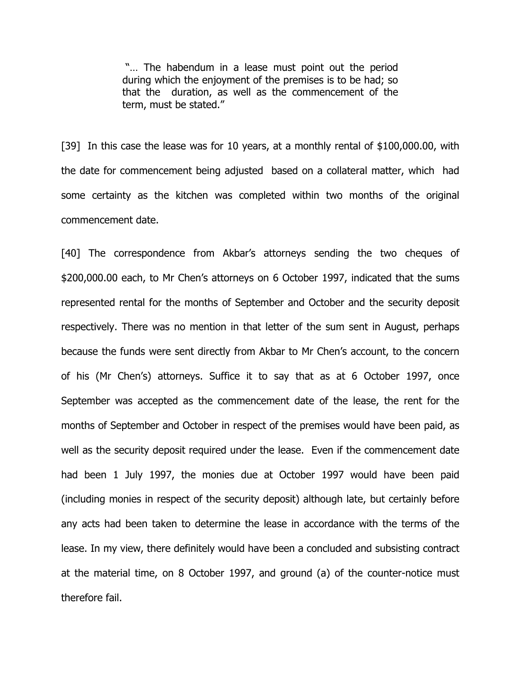"… The habendum in a lease must point out the period during which the enjoyment of the premises is to be had; so that the duration, as well as the commencement of the term, must be stated."

[39] In this case the lease was for 10 years, at a monthly rental of \$100,000.00, with the date for commencement being adjusted based on a collateral matter, which had some certainty as the kitchen was completed within two months of the original commencement date.

[40] The correspondence from Akbar's attorneys sending the two cheques of \$200,000.00 each, to Mr Chen's attorneys on 6 October 1997, indicated that the sums represented rental for the months of September and October and the security deposit respectively. There was no mention in that letter of the sum sent in August, perhaps because the funds were sent directly from Akbar to Mr Chen's account, to the concern of his (Mr Chen's) attorneys. Suffice it to say that as at 6 October 1997, once September was accepted as the commencement date of the lease, the rent for the months of September and October in respect of the premises would have been paid, as well as the security deposit required under the lease. Even if the commencement date had been 1 July 1997, the monies due at October 1997 would have been paid (including monies in respect of the security deposit) although late, but certainly before any acts had been taken to determine the lease in accordance with the terms of the lease. In my view, there definitely would have been a concluded and subsisting contract at the material time, on 8 October 1997, and ground (a) of the counter-notice must therefore fail.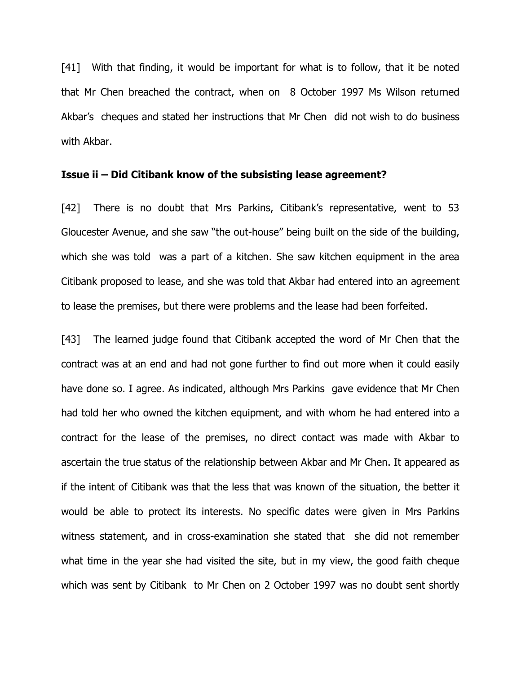[41] With that finding, it would be important for what is to follow, that it be noted that Mr Chen breached the contract, when on 8 October 1997 Ms Wilson returned Akbar's cheques and stated her instructions that Mr Chen did not wish to do business with Akbar.

#### Issue ii – Did Citibank know of the subsisting lease agreement?

[42] There is no doubt that Mrs Parkins, Citibank's representative, went to 53 Gloucester Avenue, and she saw "the out-house" being built on the side of the building, which she was told was a part of a kitchen. She saw kitchen equipment in the area Citibank proposed to lease, and she was told that Akbar had entered into an agreement to lease the premises, but there were problems and the lease had been forfeited.

[43] The learned judge found that Citibank accepted the word of Mr Chen that the contract was at an end and had not gone further to find out more when it could easily have done so. I agree. As indicated, although Mrs Parkins gave evidence that Mr Chen had told her who owned the kitchen equipment, and with whom he had entered into a contract for the lease of the premises, no direct contact was made with Akbar to ascertain the true status of the relationship between Akbar and Mr Chen. It appeared as if the intent of Citibank was that the less that was known of the situation, the better it would be able to protect its interests. No specific dates were given in Mrs Parkins witness statement, and in cross-examination she stated that she did not remember what time in the year she had visited the site, but in my view, the good faith cheque which was sent by Citibank to Mr Chen on 2 October 1997 was no doubt sent shortly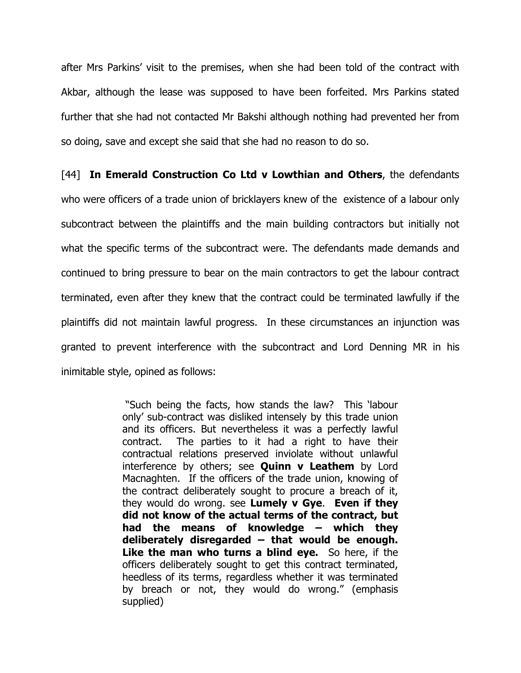after Mrs Parkins' visit to the premises, when she had been told of the contract with Akbar, although the lease was supposed to have been forfeited. Mrs Parkins stated further that she had not contacted Mr Bakshi although nothing had prevented her from so doing, save and except she said that she had no reason to do so.

[44] In Emerald Construction Co Ltd v Lowthian and Others, the defendants who were officers of a trade union of bricklayers knew of the existence of a labour only subcontract between the plaintiffs and the main building contractors but initially not what the specific terms of the subcontract were. The defendants made demands and continued to bring pressure to bear on the main contractors to get the labour contract terminated, even after they knew that the contract could be terminated lawfully if the plaintiffs did not maintain lawful progress. In these circumstances an injunction was granted to prevent interference with the subcontract and Lord Denning MR in his inimitable style, opined as follows:

> "Such being the facts, how stands the law? This 'labour only' sub-contract was disliked intensely by this trade union and its officers. But nevertheless it was a perfectly lawful contract. The parties to it had a right to have their contractual relations preserved inviolate without unlawful interference by others; see  $Quinn v$  Leathem by Lord Macnaghten. If the officers of the trade union, knowing of the contract deliberately sought to procure a breach of it, they would do wrong. see Lumely v Gye. Even if they did not know of the actual terms of the contract, but had the means of knowledge – which they deliberately disregarded  $-$  that would be enough. Like the man who turns a blind eye. So here, if the officers deliberately sought to get this contract terminated, heedless of its terms, regardless whether it was terminated by breach or not, they would do wrong." (emphasis supplied)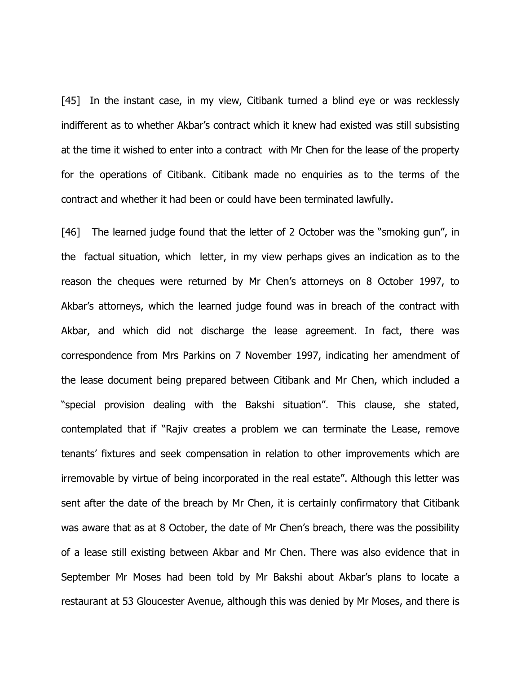[45] In the instant case, in my view, Citibank turned a blind eye or was recklessly indifferent as to whether Akbar's contract which it knew had existed was still subsisting at the time it wished to enter into a contract with Mr Chen for the lease of the property for the operations of Citibank. Citibank made no enquiries as to the terms of the contract and whether it had been or could have been terminated lawfully.

[46] The learned judge found that the letter of 2 October was the "smoking gun", in the factual situation, which letter, in my view perhaps gives an indication as to the reason the cheques were returned by Mr Chen's attorneys on 8 October 1997, to Akbar's attorneys, which the learned judge found was in breach of the contract with Akbar, and which did not discharge the lease agreement. In fact, there was correspondence from Mrs Parkins on 7 November 1997, indicating her amendment of the lease document being prepared between Citibank and Mr Chen, which included a "special provision dealing with the Bakshi situation". This clause, she stated, contemplated that if "Rajiv creates a problem we can terminate the Lease, remove tenants' fixtures and seek compensation in relation to other improvements which are irremovable by virtue of being incorporated in the real estate". Although this letter was sent after the date of the breach by Mr Chen, it is certainly confirmatory that Citibank was aware that as at 8 October, the date of Mr Chen's breach, there was the possibility of a lease still existing between Akbar and Mr Chen. There was also evidence that in September Mr Moses had been told by Mr Bakshi about Akbar's plans to locate a restaurant at 53 Gloucester Avenue, although this was denied by Mr Moses, and there is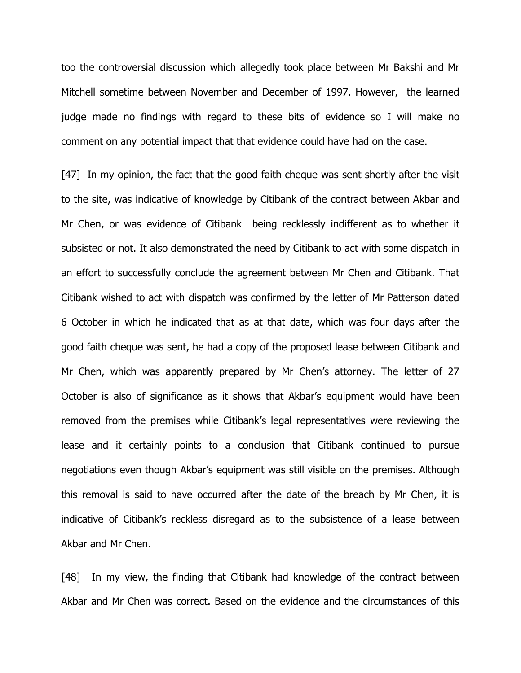too the controversial discussion which allegedly took place between Mr Bakshi and Mr Mitchell sometime between November and December of 1997. However, the learned judge made no findings with regard to these bits of evidence so I will make no comment on any potential impact that that evidence could have had on the case.

[47] In my opinion, the fact that the good faith cheque was sent shortly after the visit to the site, was indicative of knowledge by Citibank of the contract between Akbar and Mr Chen, or was evidence of Citibank being recklessly indifferent as to whether it subsisted or not. It also demonstrated the need by Citibank to act with some dispatch in an effort to successfully conclude the agreement between Mr Chen and Citibank. That Citibank wished to act with dispatch was confirmed by the letter of Mr Patterson dated 6 October in which he indicated that as at that date, which was four days after the good faith cheque was sent, he had a copy of the proposed lease between Citibank and Mr Chen, which was apparently prepared by Mr Chen's attorney. The letter of 27 October is also of significance as it shows that Akbar's equipment would have been removed from the premises while Citibank's legal representatives were reviewing the lease and it certainly points to a conclusion that Citibank continued to pursue negotiations even though Akbar's equipment was still visible on the premises. Although this removal is said to have occurred after the date of the breach by Mr Chen, it is indicative of Citibank's reckless disregard as to the subsistence of a lease between Akbar and Mr Chen.

[48] In my view, the finding that Citibank had knowledge of the contract between Akbar and Mr Chen was correct. Based on the evidence and the circumstances of this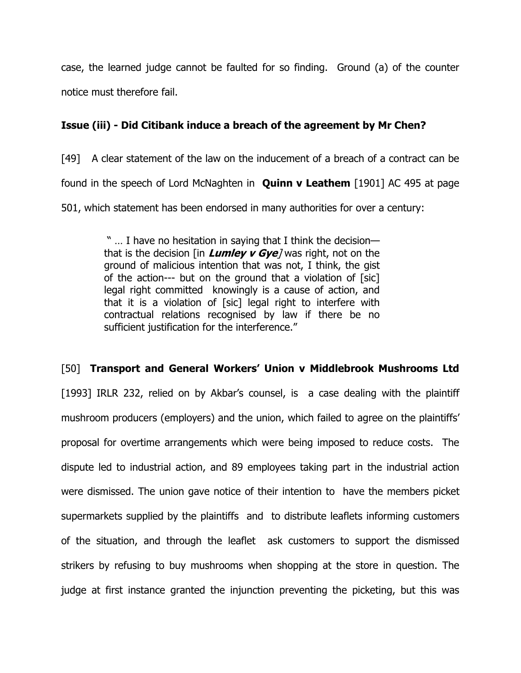case, the learned judge cannot be faulted for so finding. Ground (a) of the counter notice must therefore fail.

# Issue (iii) - Did Citibank induce a breach of the agreement by Mr Chen?

[49] A clear statement of the law on the inducement of a breach of a contract can be found in the speech of Lord McNaghten in **Quinn v Leathem** [1901] AC 495 at page 501, which statement has been endorsed in many authorities for over a century:

> " … I have no hesitation in saying that I think the decision that is the decision [in **Lumley v Gye**] was right, not on the ground of malicious intention that was not, I think, the gist of the action--- but on the ground that a violation of [sic] legal right committed knowingly is a cause of action, and that it is a violation of [sic] legal right to interfere with contractual relations recognised by law if there be no sufficient justification for the interference."

# [50] Transport and General Workers' Union v Middlebrook Mushrooms Ltd

[1993] IRLR 232, relied on by Akbar's counsel, is a case dealing with the plaintiff mushroom producers (employers) and the union, which failed to agree on the plaintiffs' proposal for overtime arrangements which were being imposed to reduce costs. The dispute led to industrial action, and 89 employees taking part in the industrial action were dismissed. The union gave notice of their intention to have the members picket supermarkets supplied by the plaintiffs and to distribute leaflets informing customers of the situation, and through the leaflet ask customers to support the dismissed strikers by refusing to buy mushrooms when shopping at the store in question. The judge at first instance granted the injunction preventing the picketing, but this was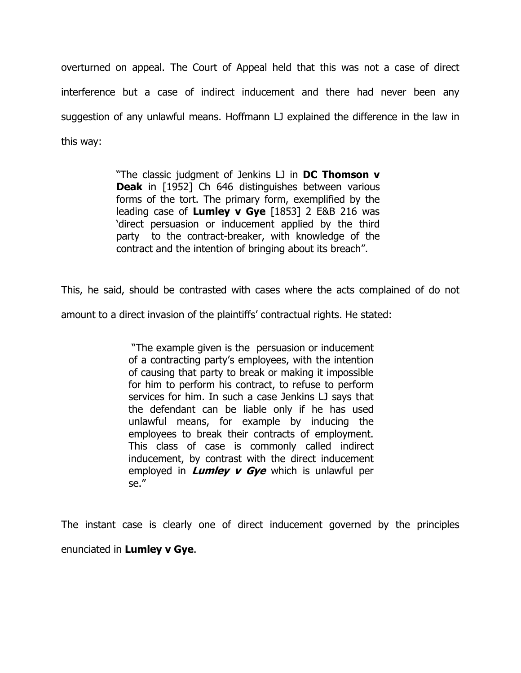overturned on appeal. The Court of Appeal held that this was not a case of direct interference but a case of indirect inducement and there had never been any suggestion of any unlawful means. Hoffmann LJ explained the difference in the law in this way:

> "The classic judgment of Jenkins LJ in DC Thomson v **Deak** in [1952] Ch 646 distinguishes between various forms of the tort. The primary form, exemplified by the leading case of Lumley v Gye  $[1853]$  2 E&B 216 was 'direct persuasion or inducement applied by the third party to the contract-breaker, with knowledge of the contract and the intention of bringing about its breach".

This, he said, should be contrasted with cases where the acts complained of do not

amount to a direct invasion of the plaintiffs' contractual rights. He stated:

 "The example given is the persuasion or inducement of a contracting party's employees, with the intention of causing that party to break or making it impossible for him to perform his contract, to refuse to perform services for him. In such a case Jenkins LJ says that the defendant can be liable only if he has used unlawful means, for example by inducing the employees to break their contracts of employment. This class of case is commonly called indirect inducement, by contrast with the direct inducement employed in **Lumley v Gye** which is unlawful per se."

The instant case is clearly one of direct inducement governed by the principles enunciated in Lumley v Gye.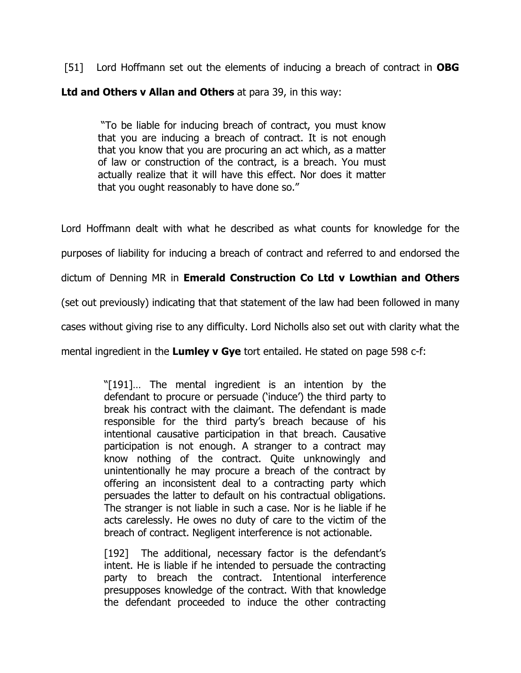[51] Lord Hoffmann set out the elements of inducing a breach of contract in **OBG** Ltd and Others v Allan and Others at para 39, in this way:

 "To be liable for inducing breach of contract, you must know that you are inducing a breach of contract. It is not enough that you know that you are procuring an act which, as a matter of law or construction of the contract, is a breach. You must actually realize that it will have this effect. Nor does it matter that you ought reasonably to have done so."

Lord Hoffmann dealt with what he described as what counts for knowledge for the purposes of liability for inducing a breach of contract and referred to and endorsed the dictum of Denning MR in Emerald Construction Co Ltd v Lowthian and Others (set out previously) indicating that that statement of the law had been followed in many cases without giving rise to any difficulty. Lord Nicholls also set out with clarity what the mental ingredient in the Lumley v Gye tort entailed. He stated on page 598 c-f:

> "[191]… The mental ingredient is an intention by the defendant to procure or persuade ('induce') the third party to break his contract with the claimant. The defendant is made responsible for the third party's breach because of his intentional causative participation in that breach. Causative participation is not enough. A stranger to a contract may know nothing of the contract. Quite unknowingly and unintentionally he may procure a breach of the contract by offering an inconsistent deal to a contracting party which persuades the latter to default on his contractual obligations. The stranger is not liable in such a case. Nor is he liable if he acts carelessly. He owes no duty of care to the victim of the breach of contract. Negligent interference is not actionable.

> [192] The additional, necessary factor is the defendant's intent. He is liable if he intended to persuade the contracting party to breach the contract. Intentional interference presupposes knowledge of the contract. With that knowledge the defendant proceeded to induce the other contracting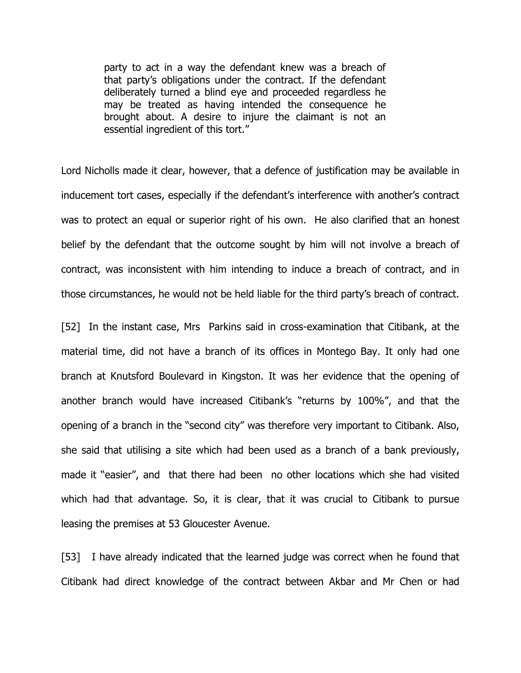party to act in a way the defendant knew was a breach of that party's obligations under the contract. If the defendant deliberately turned a blind eye and proceeded regardless he may be treated as having intended the consequence he brought about. A desire to injure the claimant is not an essential ingredient of this tort."

Lord Nicholls made it clear, however, that a defence of justification may be available in inducement tort cases, especially if the defendant's interference with another's contract was to protect an equal or superior right of his own. He also clarified that an honest belief by the defendant that the outcome sought by him will not involve a breach of contract, was inconsistent with him intending to induce a breach of contract, and in those circumstances, he would not be held liable for the third party's breach of contract.

[52] In the instant case, Mrs Parkins said in cross-examination that Citibank, at the material time, did not have a branch of its offices in Montego Bay. It only had one branch at Knutsford Boulevard in Kingston. It was her evidence that the opening of another branch would have increased Citibank's "returns by 100%", and that the opening of a branch in the "second city" was therefore very important to Citibank. Also, she said that utilising a site which had been used as a branch of a bank previously, made it "easier", and that there had been no other locations which she had visited which had that advantage. So, it is clear, that it was crucial to Citibank to pursue leasing the premises at 53 Gloucester Avenue.

[53] I have already indicated that the learned judge was correct when he found that Citibank had direct knowledge of the contract between Akbar and Mr Chen or had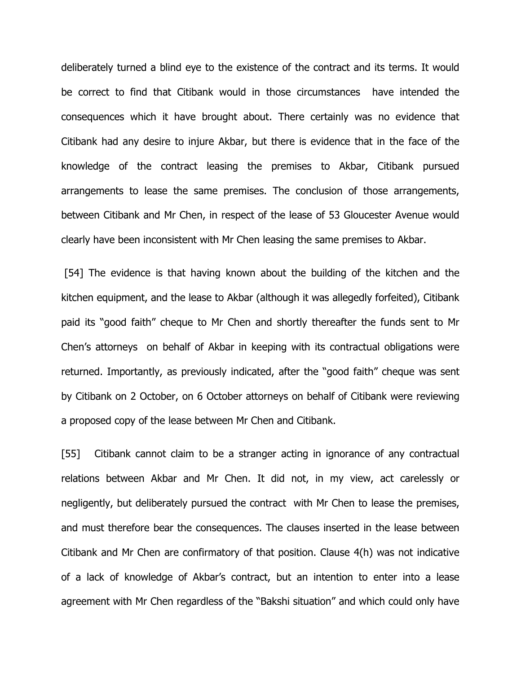deliberately turned a blind eye to the existence of the contract and its terms. It would be correct to find that Citibank would in those circumstances have intended the consequences which it have brought about. There certainly was no evidence that Citibank had any desire to injure Akbar, but there is evidence that in the face of the knowledge of the contract leasing the premises to Akbar, Citibank pursued arrangements to lease the same premises. The conclusion of those arrangements, between Citibank and Mr Chen, in respect of the lease of 53 Gloucester Avenue would clearly have been inconsistent with Mr Chen leasing the same premises to Akbar.

 [54] The evidence is that having known about the building of the kitchen and the kitchen equipment, and the lease to Akbar (although it was allegedly forfeited), Citibank paid its "good faith" cheque to Mr Chen and shortly thereafter the funds sent to Mr Chen's attorneys on behalf of Akbar in keeping with its contractual obligations were returned. Importantly, as previously indicated, after the "good faith" cheque was sent by Citibank on 2 October, on 6 October attorneys on behalf of Citibank were reviewing a proposed copy of the lease between Mr Chen and Citibank.

[55] Citibank cannot claim to be a stranger acting in ignorance of any contractual relations between Akbar and Mr Chen. It did not, in my view, act carelessly or negligently, but deliberately pursued the contract with Mr Chen to lease the premises, and must therefore bear the consequences. The clauses inserted in the lease between Citibank and Mr Chen are confirmatory of that position. Clause 4(h) was not indicative of a lack of knowledge of Akbar's contract, but an intention to enter into a lease agreement with Mr Chen regardless of the "Bakshi situation" and which could only have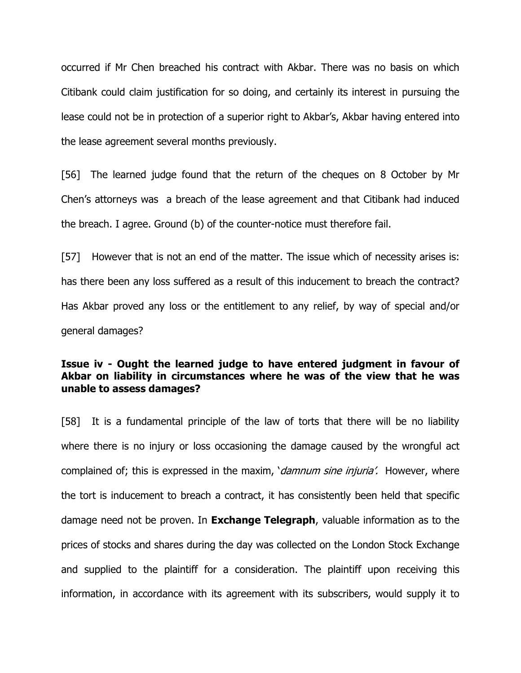occurred if Mr Chen breached his contract with Akbar. There was no basis on which Citibank could claim justification for so doing, and certainly its interest in pursuing the lease could not be in protection of a superior right to Akbar's, Akbar having entered into the lease agreement several months previously.

[56] The learned judge found that the return of the cheques on 8 October by Mr Chen's attorneys was a breach of the lease agreement and that Citibank had induced the breach. I agree. Ground (b) of the counter-notice must therefore fail.

[57] However that is not an end of the matter. The issue which of necessity arises is: has there been any loss suffered as a result of this inducement to breach the contract? Has Akbar proved any loss or the entitlement to any relief, by way of special and/or general damages?

# Issue iv - Ought the learned judge to have entered judgment in favour of Akbar on liability in circumstances where he was of the view that he was unable to assess damages?

[58] It is a fundamental principle of the law of torts that there will be no liability where there is no injury or loss occasioning the damage caused by the wrongful act complained of; this is expressed in the maxim, *damnum sine injuria'*. However, where the tort is inducement to breach a contract, it has consistently been held that specific damage need not be proven. In **Exchange Telegraph**, valuable information as to the prices of stocks and shares during the day was collected on the London Stock Exchange and supplied to the plaintiff for a consideration. The plaintiff upon receiving this information, in accordance with its agreement with its subscribers, would supply it to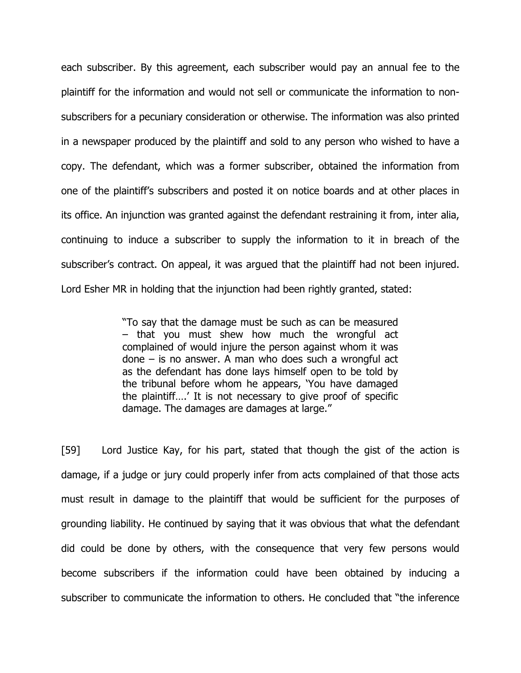each subscriber. By this agreement, each subscriber would pay an annual fee to the plaintiff for the information and would not sell or communicate the information to nonsubscribers for a pecuniary consideration or otherwise. The information was also printed in a newspaper produced by the plaintiff and sold to any person who wished to have a copy. The defendant, which was a former subscriber, obtained the information from one of the plaintiff's subscribers and posted it on notice boards and at other places in its office. An injunction was granted against the defendant restraining it from, inter alia, continuing to induce a subscriber to supply the information to it in breach of the subscriber's contract. On appeal, it was argued that the plaintiff had not been injured. Lord Esher MR in holding that the injunction had been rightly granted, stated:

> "To say that the damage must be such as can be measured – that you must shew how much the wrongful act complained of would injure the person against whom it was done – is no answer. A man who does such a wrongful act as the defendant has done lays himself open to be told by the tribunal before whom he appears, 'You have damaged the plaintiff….' It is not necessary to give proof of specific damage. The damages are damages at large."

[59] Lord Justice Kay, for his part, stated that though the gist of the action is damage, if a judge or jury could properly infer from acts complained of that those acts must result in damage to the plaintiff that would be sufficient for the purposes of grounding liability. He continued by saying that it was obvious that what the defendant did could be done by others, with the consequence that very few persons would become subscribers if the information could have been obtained by inducing a subscriber to communicate the information to others. He concluded that "the inference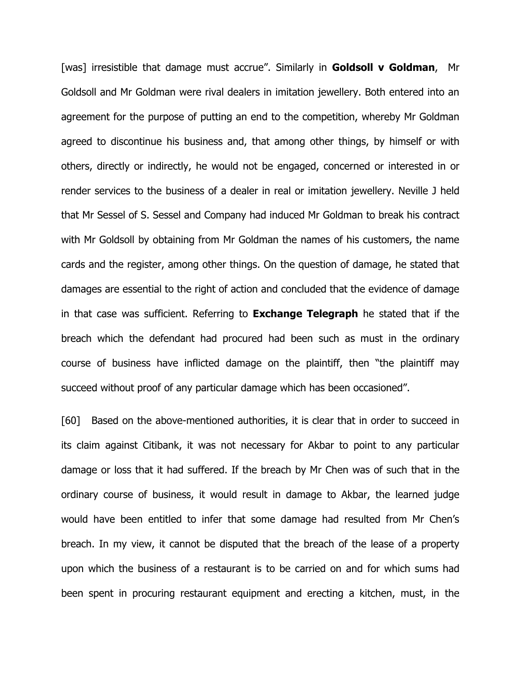[was] irresistible that damage must accrue". Similarly in **Goldsoll v Goldman**, Mr Goldsoll and Mr Goldman were rival dealers in imitation jewellery. Both entered into an agreement for the purpose of putting an end to the competition, whereby Mr Goldman agreed to discontinue his business and, that among other things, by himself or with others, directly or indirectly, he would not be engaged, concerned or interested in or render services to the business of a dealer in real or imitation jewellery. Neville J held that Mr Sessel of S. Sessel and Company had induced Mr Goldman to break his contract with Mr Goldsoll by obtaining from Mr Goldman the names of his customers, the name cards and the register, among other things. On the question of damage, he stated that damages are essential to the right of action and concluded that the evidence of damage in that case was sufficient. Referring to **Exchange Telegraph** he stated that if the breach which the defendant had procured had been such as must in the ordinary course of business have inflicted damage on the plaintiff, then "the plaintiff may succeed without proof of any particular damage which has been occasioned".

[60] Based on the above-mentioned authorities, it is clear that in order to succeed in its claim against Citibank, it was not necessary for Akbar to point to any particular damage or loss that it had suffered. If the breach by Mr Chen was of such that in the ordinary course of business, it would result in damage to Akbar, the learned judge would have been entitled to infer that some damage had resulted from Mr Chen's breach. In my view, it cannot be disputed that the breach of the lease of a property upon which the business of a restaurant is to be carried on and for which sums had been spent in procuring restaurant equipment and erecting a kitchen, must, in the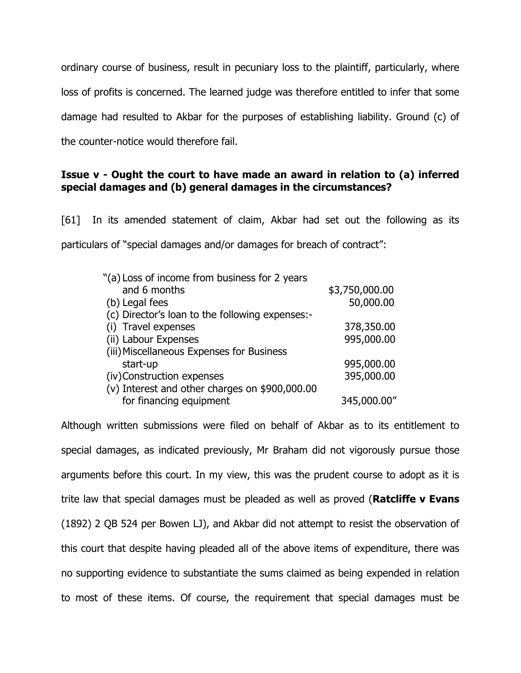ordinary course of business, result in pecuniary loss to the plaintiff, particularly, where loss of profits is concerned. The learned judge was therefore entitled to infer that some damage had resulted to Akbar for the purposes of establishing liability. Ground (c) of the counter-notice would therefore fail.

# Issue v - Ought the court to have made an award in relation to (a) inferred special damages and (b) general damages in the circumstances?

[61] In its amended statement of claim, Akbar had set out the following as its particulars of "special damages and/or damages for breach of contract":

| \$3,750,000.00 |
|----------------|
| 50,000.00      |
|                |
| 378,350.00     |
| 995,000.00     |
|                |
| 995,000.00     |
| 395,000.00     |
|                |
| 345,000.00"    |
|                |

Although written submissions were filed on behalf of Akbar as to its entitlement to special damages, as indicated previously, Mr Braham did not vigorously pursue those arguments before this court. In my view, this was the prudent course to adopt as it is trite law that special damages must be pleaded as well as proved (**Ratcliffe v Evans** (1892) 2 QB 524 per Bowen LJ), and Akbar did not attempt to resist the observation of this court that despite having pleaded all of the above items of expenditure, there was no supporting evidence to substantiate the sums claimed as being expended in relation to most of these items. Of course, the requirement that special damages must be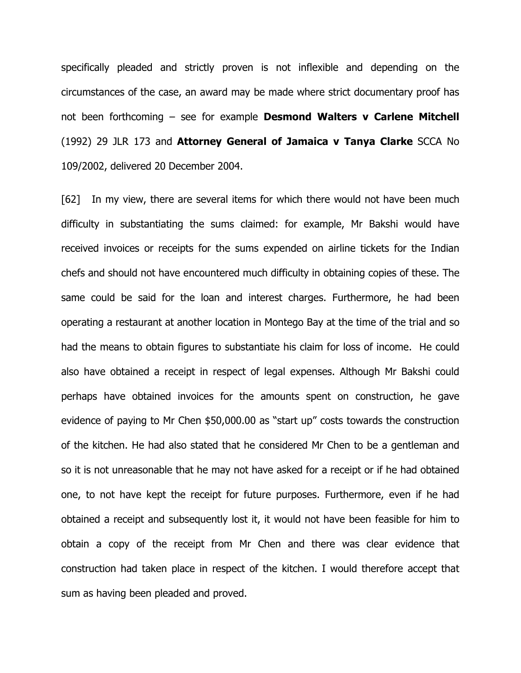specifically pleaded and strictly proven is not inflexible and depending on the circumstances of the case, an award may be made where strict documentary proof has not been forthcoming  $-$  see for example **Desmond Walters v Carlene Mitchell** (1992) 29 JLR 173 and Attorney General of Jamaica v Tanya Clarke SCCA No 109/2002, delivered 20 December 2004.

[62] In my view, there are several items for which there would not have been much difficulty in substantiating the sums claimed: for example, Mr Bakshi would have received invoices or receipts for the sums expended on airline tickets for the Indian chefs and should not have encountered much difficulty in obtaining copies of these. The same could be said for the loan and interest charges. Furthermore, he had been operating a restaurant at another location in Montego Bay at the time of the trial and so had the means to obtain figures to substantiate his claim for loss of income. He could also have obtained a receipt in respect of legal expenses. Although Mr Bakshi could perhaps have obtained invoices for the amounts spent on construction, he gave evidence of paying to Mr Chen \$50,000.00 as "start up" costs towards the construction of the kitchen. He had also stated that he considered Mr Chen to be a gentleman and so it is not unreasonable that he may not have asked for a receipt or if he had obtained one, to not have kept the receipt for future purposes. Furthermore, even if he had obtained a receipt and subsequently lost it, it would not have been feasible for him to obtain a copy of the receipt from Mr Chen and there was clear evidence that construction had taken place in respect of the kitchen. I would therefore accept that sum as having been pleaded and proved.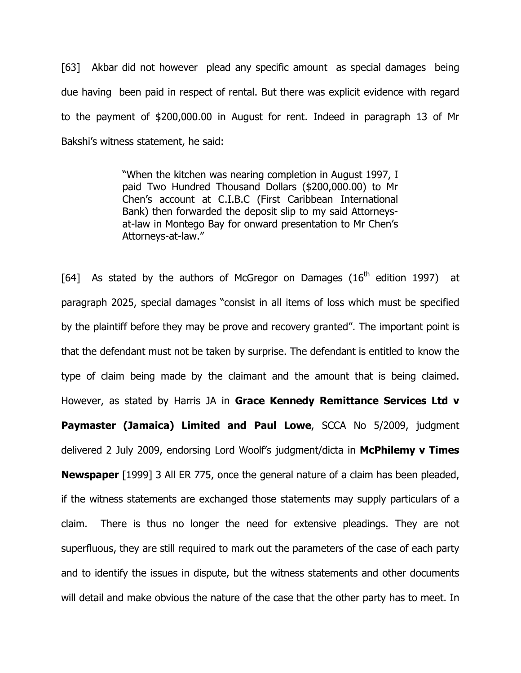[63] Akbar did not however plead any specific amount as special damages being due having been paid in respect of rental. But there was explicit evidence with regard to the payment of \$200,000.00 in August for rent. Indeed in paragraph 13 of Mr Bakshi's witness statement, he said:

> "When the kitchen was nearing completion in August 1997, I paid Two Hundred Thousand Dollars (\$200,000.00) to Mr Chen's account at C.I.B.C (First Caribbean International Bank) then forwarded the deposit slip to my said Attorneysat-law in Montego Bay for onward presentation to Mr Chen's Attorneys-at-law."

[64] As stated by the authors of McGregor on Damages  $(16<sup>th</sup>$  edition 1997) at paragraph 2025, special damages "consist in all items of loss which must be specified by the plaintiff before they may be prove and recovery granted". The important point is that the defendant must not be taken by surprise. The defendant is entitled to know the type of claim being made by the claimant and the amount that is being claimed. However, as stated by Harris JA in Grace Kennedy Remittance Services Ltd v Paymaster (Jamaica) Limited and Paul Lowe, SCCA No 5/2009, judgment delivered 2 July 2009, endorsing Lord Woolf's judgment/dicta in McPhilemy v Times **Newspaper** [1999] 3 All ER 775, once the general nature of a claim has been pleaded, if the witness statements are exchanged those statements may supply particulars of a claim. There is thus no longer the need for extensive pleadings. They are not superfluous, they are still required to mark out the parameters of the case of each party and to identify the issues in dispute, but the witness statements and other documents will detail and make obvious the nature of the case that the other party has to meet. In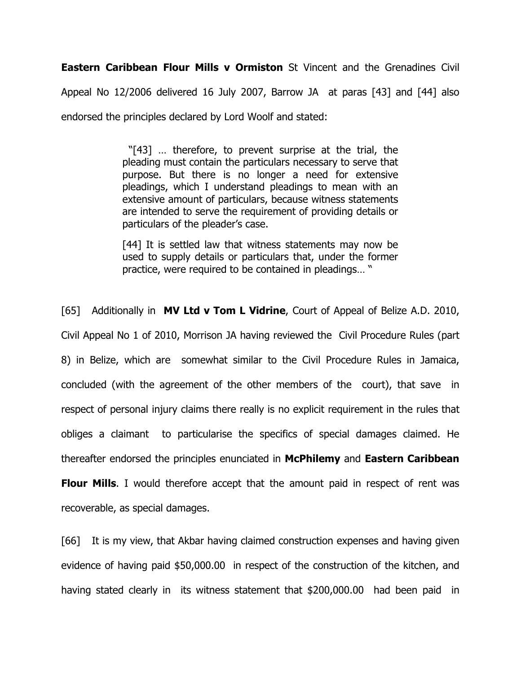Eastern Caribbean Flour Mills v Ormiston St Vincent and the Grenadines Civil Appeal No 12/2006 delivered 16 July 2007, Barrow JA at paras [43] and [44] also endorsed the principles declared by Lord Woolf and stated:

> "[43] … therefore, to prevent surprise at the trial, the pleading must contain the particulars necessary to serve that purpose. But there is no longer a need for extensive pleadings, which I understand pleadings to mean with an extensive amount of particulars, because witness statements are intended to serve the requirement of providing details or particulars of the pleader's case.

> [44] It is settled law that witness statements may now be used to supply details or particulars that, under the former practice, were required to be contained in pleadings… "

[65] Additionally in **MV Ltd v Tom L Vidrine**, Court of Appeal of Belize A.D. 2010, Civil Appeal No 1 of 2010, Morrison JA having reviewed the Civil Procedure Rules (part 8) in Belize, which are somewhat similar to the Civil Procedure Rules in Jamaica, concluded (with the agreement of the other members of the court), that save in respect of personal injury claims there really is no explicit requirement in the rules that obliges a claimant to particularise the specifics of special damages claimed. He thereafter endorsed the principles enunciated in McPhilemy and Eastern Caribbean

**Flour Mills.** I would therefore accept that the amount paid in respect of rent was recoverable, as special damages.

[66] It is my view, that Akbar having claimed construction expenses and having given evidence of having paid \$50,000.00 in respect of the construction of the kitchen, and having stated clearly in its witness statement that \$200,000.00 had been paid in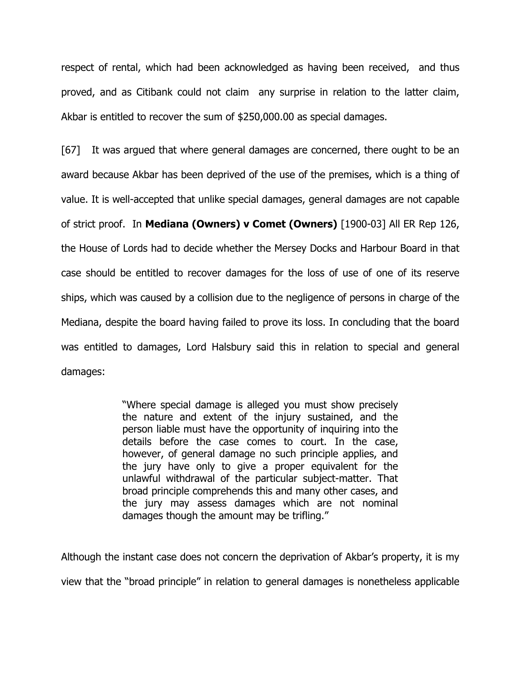respect of rental, which had been acknowledged as having been received, and thus proved, and as Citibank could not claim any surprise in relation to the latter claim, Akbar is entitled to recover the sum of \$250,000.00 as special damages.

[67] It was argued that where general damages are concerned, there ought to be an award because Akbar has been deprived of the use of the premises, which is a thing of value. It is well-accepted that unlike special damages, general damages are not capable of strict proof. In Mediana (Owners) v Comet (Owners) [1900-03] All ER Rep 126, the House of Lords had to decide whether the Mersey Docks and Harbour Board in that case should be entitled to recover damages for the loss of use of one of its reserve ships, which was caused by a collision due to the negligence of persons in charge of the Mediana, despite the board having failed to prove its loss. In concluding that the board was entitled to damages, Lord Halsbury said this in relation to special and general damages:

> "Where special damage is alleged you must show precisely the nature and extent of the injury sustained, and the person liable must have the opportunity of inquiring into the details before the case comes to court. In the case, however, of general damage no such principle applies, and the jury have only to give a proper equivalent for the unlawful withdrawal of the particular subject-matter. That broad principle comprehends this and many other cases, and the jury may assess damages which are not nominal damages though the amount may be trifling."

Although the instant case does not concern the deprivation of Akbar's property, it is my view that the "broad principle" in relation to general damages is nonetheless applicable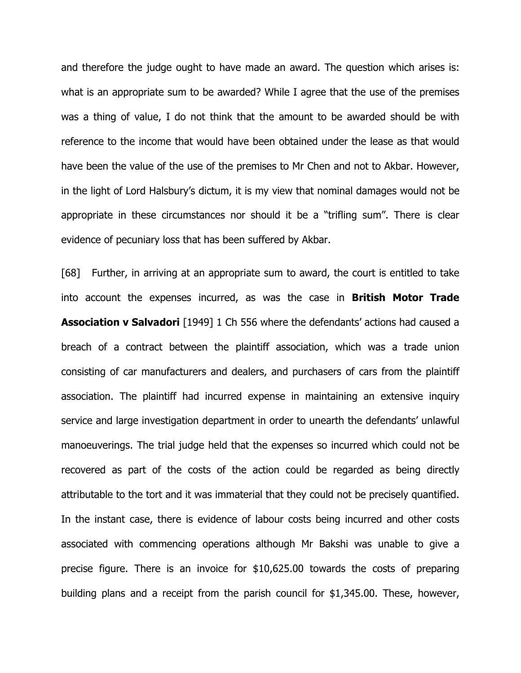and therefore the judge ought to have made an award. The question which arises is: what is an appropriate sum to be awarded? While I agree that the use of the premises was a thing of value, I do not think that the amount to be awarded should be with reference to the income that would have been obtained under the lease as that would have been the value of the use of the premises to Mr Chen and not to Akbar. However, in the light of Lord Halsbury's dictum, it is my view that nominal damages would not be appropriate in these circumstances nor should it be a "trifling sum". There is clear evidence of pecuniary loss that has been suffered by Akbar.

[68] Further, in arriving at an appropriate sum to award, the court is entitled to take into account the expenses incurred, as was the case in **British Motor Trade** Association v Salvadori [1949] 1 Ch 556 where the defendants' actions had caused a breach of a contract between the plaintiff association, which was a trade union consisting of car manufacturers and dealers, and purchasers of cars from the plaintiff association. The plaintiff had incurred expense in maintaining an extensive inquiry service and large investigation department in order to unearth the defendants' unlawful manoeuverings. The trial judge held that the expenses so incurred which could not be recovered as part of the costs of the action could be regarded as being directly attributable to the tort and it was immaterial that they could not be precisely quantified. In the instant case, there is evidence of labour costs being incurred and other costs associated with commencing operations although Mr Bakshi was unable to give a precise figure. There is an invoice for \$10,625.00 towards the costs of preparing building plans and a receipt from the parish council for \$1,345.00. These, however,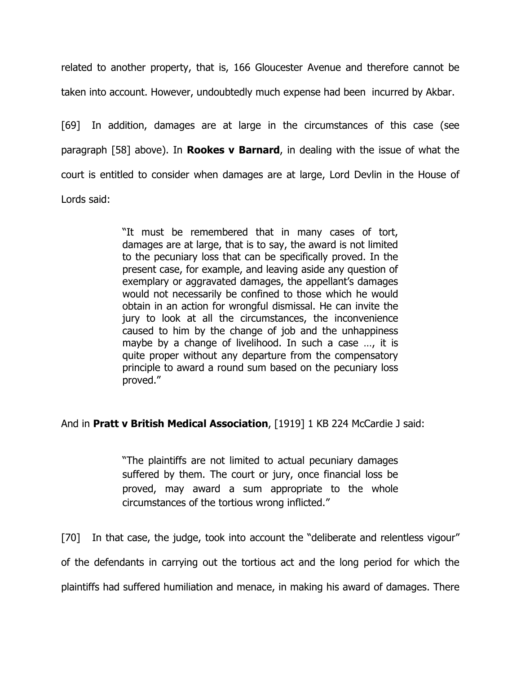related to another property, that is, 166 Gloucester Avenue and therefore cannot be taken into account. However, undoubtedly much expense had been incurred by Akbar.

[69] In addition, damages are at large in the circumstances of this case (see paragraph  $[58]$  above). In **Rookes v Barnard**, in dealing with the issue of what the court is entitled to consider when damages are at large, Lord Devlin in the House of Lords said:

> "It must be remembered that in many cases of tort, damages are at large, that is to say, the award is not limited to the pecuniary loss that can be specifically proved. In the present case, for example, and leaving aside any question of exemplary or aggravated damages, the appellant's damages would not necessarily be confined to those which he would obtain in an action for wrongful dismissal. He can invite the jury to look at all the circumstances, the inconvenience caused to him by the change of job and the unhappiness maybe by a change of livelihood. In such a case …, it is quite proper without any departure from the compensatory principle to award a round sum based on the pecuniary loss proved."

# And in Pratt v British Medical Association, [1919] 1 KB 224 McCardie J said:

"The plaintiffs are not limited to actual pecuniary damages suffered by them. The court or jury, once financial loss be proved, may award a sum appropriate to the whole circumstances of the tortious wrong inflicted."

[70] In that case, the judge, took into account the "deliberate and relentless vigour" of the defendants in carrying out the tortious act and the long period for which the plaintiffs had suffered humiliation and menace, in making his award of damages. There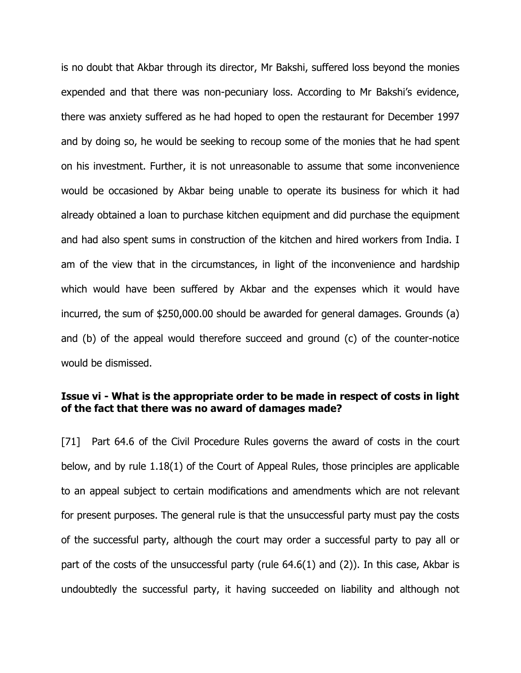is no doubt that Akbar through its director, Mr Bakshi, suffered loss beyond the monies expended and that there was non-pecuniary loss. According to Mr Bakshi's evidence, there was anxiety suffered as he had hoped to open the restaurant for December 1997 and by doing so, he would be seeking to recoup some of the monies that he had spent on his investment. Further, it is not unreasonable to assume that some inconvenience would be occasioned by Akbar being unable to operate its business for which it had already obtained a loan to purchase kitchen equipment and did purchase the equipment and had also spent sums in construction of the kitchen and hired workers from India. I am of the view that in the circumstances, in light of the inconvenience and hardship which would have been suffered by Akbar and the expenses which it would have incurred, the sum of \$250,000.00 should be awarded for general damages. Grounds (a) and (b) of the appeal would therefore succeed and ground (c) of the counter-notice would be dismissed.

# Issue vi - What is the appropriate order to be made in respect of costs in light of the fact that there was no award of damages made?

[71] Part 64.6 of the Civil Procedure Rules governs the award of costs in the court below, and by rule 1.18(1) of the Court of Appeal Rules, those principles are applicable to an appeal subject to certain modifications and amendments which are not relevant for present purposes. The general rule is that the unsuccessful party must pay the costs of the successful party, although the court may order a successful party to pay all or part of the costs of the unsuccessful party (rule 64.6(1) and (2)). In this case, Akbar is undoubtedly the successful party, it having succeeded on liability and although not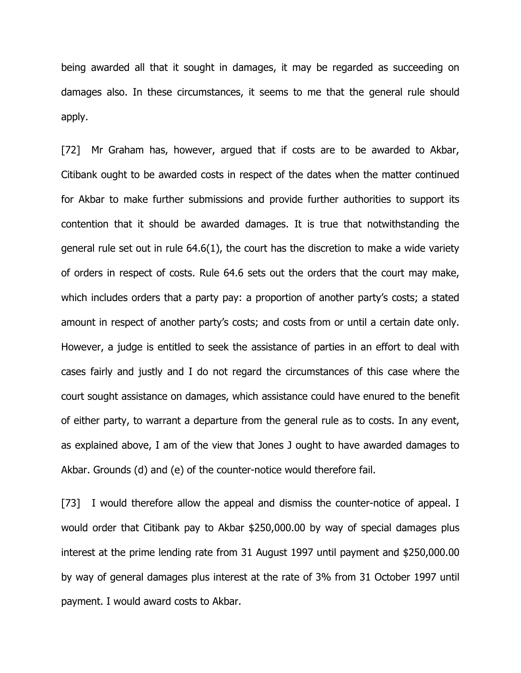being awarded all that it sought in damages, it may be regarded as succeeding on damages also. In these circumstances, it seems to me that the general rule should apply.

[72] Mr Graham has, however, argued that if costs are to be awarded to Akbar, Citibank ought to be awarded costs in respect of the dates when the matter continued for Akbar to make further submissions and provide further authorities to support its contention that it should be awarded damages. It is true that notwithstanding the general rule set out in rule 64.6(1), the court has the discretion to make a wide variety of orders in respect of costs. Rule 64.6 sets out the orders that the court may make, which includes orders that a party pay: a proportion of another party's costs; a stated amount in respect of another party's costs; and costs from or until a certain date only. However, a judge is entitled to seek the assistance of parties in an effort to deal with cases fairly and justly and I do not regard the circumstances of this case where the court sought assistance on damages, which assistance could have enured to the benefit of either party, to warrant a departure from the general rule as to costs. In any event, as explained above, I am of the view that Jones J ought to have awarded damages to Akbar. Grounds (d) and (e) of the counter-notice would therefore fail.

[73] I would therefore allow the appeal and dismiss the counter-notice of appeal. I would order that Citibank pay to Akbar \$250,000.00 by way of special damages plus interest at the prime lending rate from 31 August 1997 until payment and \$250,000.00 by way of general damages plus interest at the rate of 3% from 31 October 1997 until payment. I would award costs to Akbar.